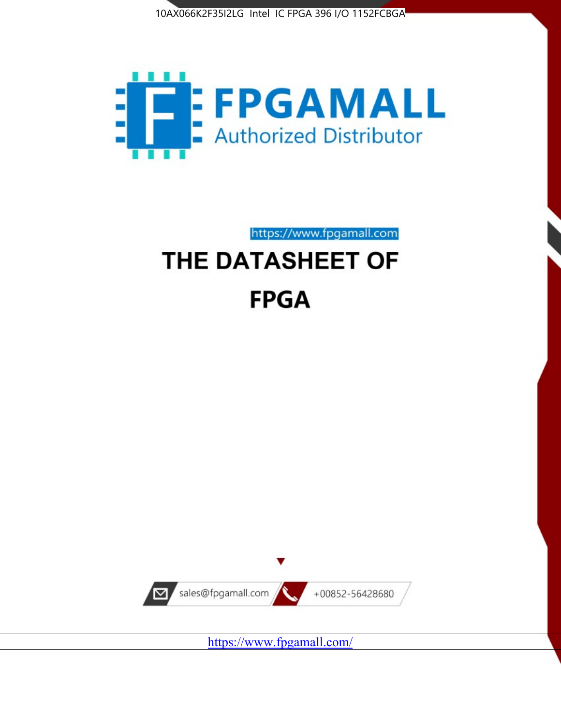



https://www.fpgamall.com

# THE DATASHEET OF **FPGA**



<https://www.fpgamall.com/>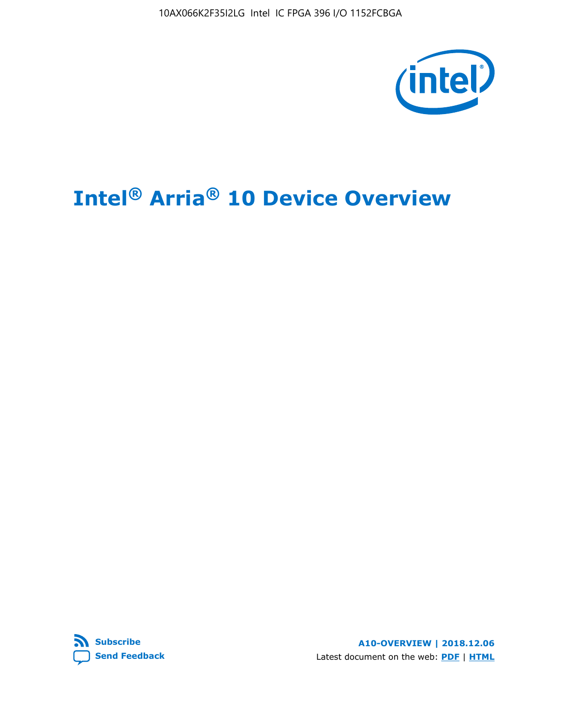10AX066K2F35I2LG Intel IC FPGA 396 I/O 1152FCBGA



# **Intel® Arria® 10 Device Overview**



**A10-OVERVIEW | 2018.12.06** Latest document on the web: **[PDF](https://www.intel.com/content/dam/www/programmable/us/en/pdfs/literature/hb/arria-10/a10_overview.pdf)** | **[HTML](https://www.intel.com/content/www/us/en/programmable/documentation/sam1403480274650.html)**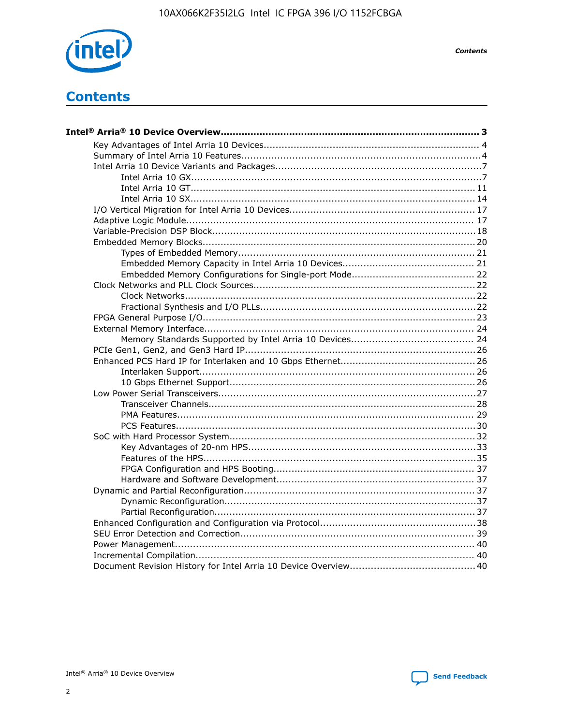

**Contents** 

# **Contents**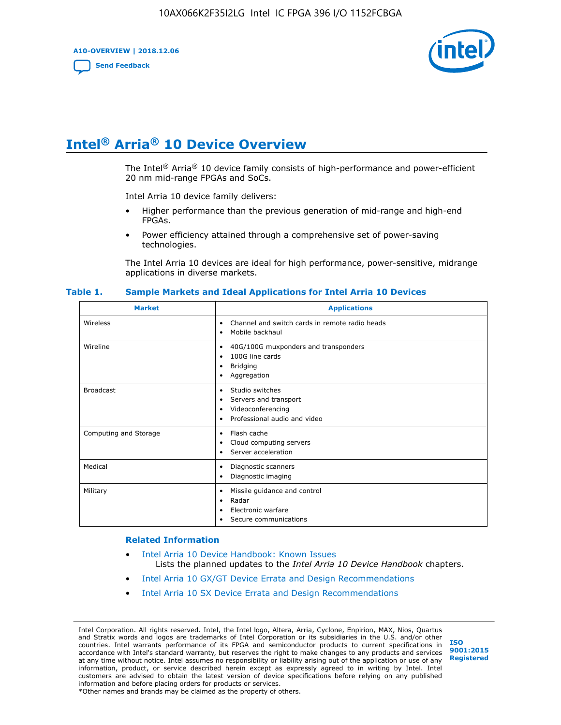**A10-OVERVIEW | 2018.12.06**

**[Send Feedback](mailto:FPGAtechdocfeedback@intel.com?subject=Feedback%20on%20Intel%20Arria%2010%20Device%20Overview%20(A10-OVERVIEW%202018.12.06)&body=We%20appreciate%20your%20feedback.%20In%20your%20comments,%20also%20specify%20the%20page%20number%20or%20paragraph.%20Thank%20you.)**



# **Intel® Arria® 10 Device Overview**

The Intel<sup>®</sup> Arria<sup>®</sup> 10 device family consists of high-performance and power-efficient 20 nm mid-range FPGAs and SoCs.

Intel Arria 10 device family delivers:

- Higher performance than the previous generation of mid-range and high-end FPGAs.
- Power efficiency attained through a comprehensive set of power-saving technologies.

The Intel Arria 10 devices are ideal for high performance, power-sensitive, midrange applications in diverse markets.

| <b>Market</b>         | <b>Applications</b>                                                                                                       |
|-----------------------|---------------------------------------------------------------------------------------------------------------------------|
| Wireless              | Channel and switch cards in remote radio heads<br>$\bullet$<br>Mobile backhaul<br>٠                                       |
| Wireline              | 40G/100G muxponders and transponders<br>٠<br>100G line cards<br>٠<br><b>Bridging</b><br>٠<br>Aggregation<br>٠             |
| <b>Broadcast</b>      | Studio switches<br>$\bullet$<br>Servers and transport<br>٠<br>Videoconferencing<br>٠<br>Professional audio and video<br>٠ |
| Computing and Storage | Flash cache<br>$\bullet$<br>Cloud computing servers<br>٠<br>Server acceleration<br>٠                                      |
| Medical               | Diagnostic scanners<br>٠<br>Diagnostic imaging<br>٠                                                                       |
| Military              | Missile guidance and control<br>٠<br>Radar<br>٠<br>Electronic warfare<br>٠<br>Secure communications                       |

#### **Table 1. Sample Markets and Ideal Applications for Intel Arria 10 Devices**

#### **Related Information**

- [Intel Arria 10 Device Handbook: Known Issues](http://www.altera.com/support/kdb/solutions/rd07302013_646.html) Lists the planned updates to the *Intel Arria 10 Device Handbook* chapters.
- [Intel Arria 10 GX/GT Device Errata and Design Recommendations](https://www.intel.com/content/www/us/en/programmable/documentation/agz1493851706374.html#yqz1494433888646)
- [Intel Arria 10 SX Device Errata and Design Recommendations](https://www.intel.com/content/www/us/en/programmable/documentation/cru1462832385668.html#cru1462832558642)

Intel Corporation. All rights reserved. Intel, the Intel logo, Altera, Arria, Cyclone, Enpirion, MAX, Nios, Quartus and Stratix words and logos are trademarks of Intel Corporation or its subsidiaries in the U.S. and/or other countries. Intel warrants performance of its FPGA and semiconductor products to current specifications in accordance with Intel's standard warranty, but reserves the right to make changes to any products and services at any time without notice. Intel assumes no responsibility or liability arising out of the application or use of any information, product, or service described herein except as expressly agreed to in writing by Intel. Intel customers are advised to obtain the latest version of device specifications before relying on any published information and before placing orders for products or services. \*Other names and brands may be claimed as the property of others.

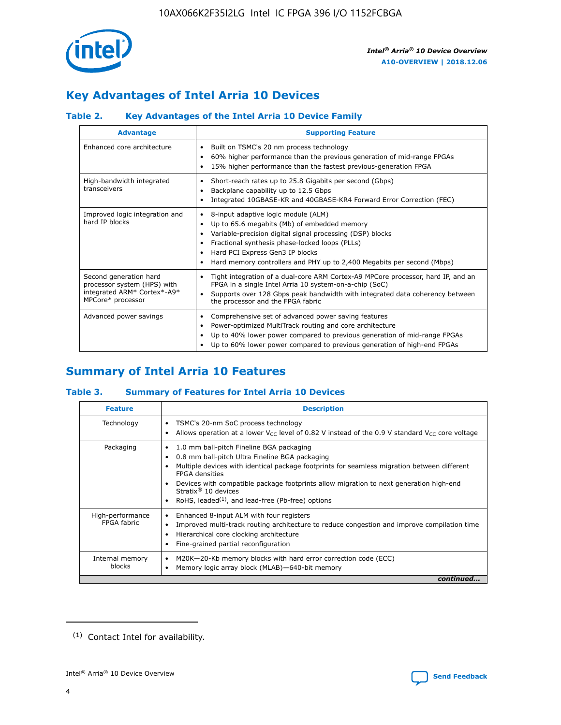

# **Key Advantages of Intel Arria 10 Devices**

# **Table 2. Key Advantages of the Intel Arria 10 Device Family**

| <b>Advantage</b>                                                                                          | <b>Supporting Feature</b>                                                                                                                                                                                                                                                                                                |
|-----------------------------------------------------------------------------------------------------------|--------------------------------------------------------------------------------------------------------------------------------------------------------------------------------------------------------------------------------------------------------------------------------------------------------------------------|
| Enhanced core architecture                                                                                | Built on TSMC's 20 nm process technology<br>٠<br>60% higher performance than the previous generation of mid-range FPGAs<br>٠<br>15% higher performance than the fastest previous-generation FPGA<br>٠                                                                                                                    |
| High-bandwidth integrated<br>transceivers                                                                 | Short-reach rates up to 25.8 Gigabits per second (Gbps)<br>٠<br>Backplane capability up to 12.5 Gbps<br>٠<br>Integrated 10GBASE-KR and 40GBASE-KR4 Forward Error Correction (FEC)<br>٠                                                                                                                                   |
| Improved logic integration and<br>hard IP blocks                                                          | 8-input adaptive logic module (ALM)<br>٠<br>Up to 65.6 megabits (Mb) of embedded memory<br>٠<br>Variable-precision digital signal processing (DSP) blocks<br>Fractional synthesis phase-locked loops (PLLs)<br>Hard PCI Express Gen3 IP blocks<br>Hard memory controllers and PHY up to 2,400 Megabits per second (Mbps) |
| Second generation hard<br>processor system (HPS) with<br>integrated ARM* Cortex*-A9*<br>MPCore* processor | Tight integration of a dual-core ARM Cortex-A9 MPCore processor, hard IP, and an<br>٠<br>FPGA in a single Intel Arria 10 system-on-a-chip (SoC)<br>Supports over 128 Gbps peak bandwidth with integrated data coherency between<br>$\bullet$<br>the processor and the FPGA fabric                                        |
| Advanced power savings                                                                                    | Comprehensive set of advanced power saving features<br>٠<br>Power-optimized MultiTrack routing and core architecture<br>٠<br>Up to 40% lower power compared to previous generation of mid-range FPGAs<br>٠<br>Up to 60% lower power compared to previous generation of high-end FPGAs<br>٠                               |

# **Summary of Intel Arria 10 Features**

### **Table 3. Summary of Features for Intel Arria 10 Devices**

| <b>Feature</b>                  | <b>Description</b>                                                                                                                                                                                                                                                                                                                                                                                 |
|---------------------------------|----------------------------------------------------------------------------------------------------------------------------------------------------------------------------------------------------------------------------------------------------------------------------------------------------------------------------------------------------------------------------------------------------|
| Technology                      | TSMC's 20-nm SoC process technology<br>Allows operation at a lower $V_{\text{CC}}$ level of 0.82 V instead of the 0.9 V standard $V_{\text{CC}}$ core voltage                                                                                                                                                                                                                                      |
| Packaging                       | 1.0 mm ball-pitch Fineline BGA packaging<br>٠<br>0.8 mm ball-pitch Ultra Fineline BGA packaging<br>Multiple devices with identical package footprints for seamless migration between different<br><b>FPGA</b> densities<br>Devices with compatible package footprints allow migration to next generation high-end<br>Stratix $@10$ devices<br>RoHS, leaded $(1)$ , and lead-free (Pb-free) options |
| High-performance<br>FPGA fabric | Enhanced 8-input ALM with four registers<br>Improved multi-track routing architecture to reduce congestion and improve compilation time<br>Hierarchical core clocking architecture<br>Fine-grained partial reconfiguration                                                                                                                                                                         |
| Internal memory<br>blocks       | M20K-20-Kb memory blocks with hard error correction code (ECC)<br>Memory logic array block (MLAB)-640-bit memory                                                                                                                                                                                                                                                                                   |
|                                 | continued                                                                                                                                                                                                                                                                                                                                                                                          |



<sup>(1)</sup> Contact Intel for availability.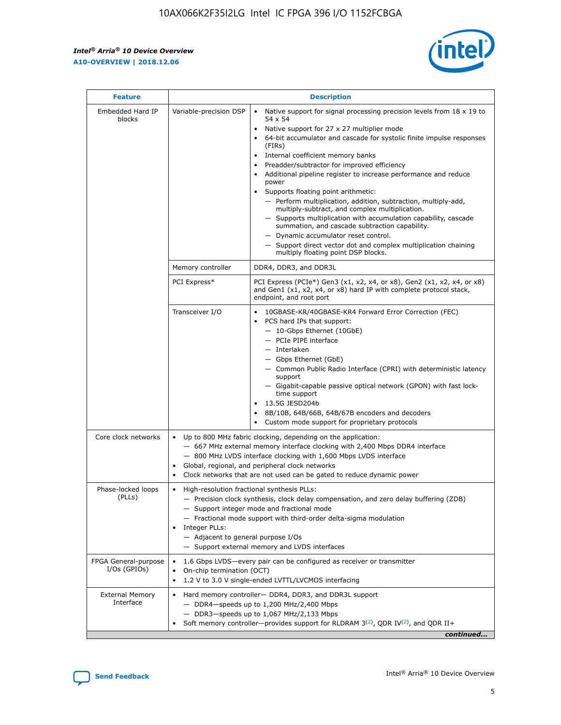r



| <b>Feature</b>                         | <b>Description</b>                                                                                             |                                                                                                                                                                                                                                                                                                                                                                                                                                                                                                                                                                                                                                                                                                                                                                                                                                        |  |  |  |  |  |
|----------------------------------------|----------------------------------------------------------------------------------------------------------------|----------------------------------------------------------------------------------------------------------------------------------------------------------------------------------------------------------------------------------------------------------------------------------------------------------------------------------------------------------------------------------------------------------------------------------------------------------------------------------------------------------------------------------------------------------------------------------------------------------------------------------------------------------------------------------------------------------------------------------------------------------------------------------------------------------------------------------------|--|--|--|--|--|
| Embedded Hard IP<br>blocks             | Variable-precision DSP                                                                                         | Native support for signal processing precision levels from $18 \times 19$ to<br>54 x 54<br>Native support for 27 x 27 multiplier mode<br>64-bit accumulator and cascade for systolic finite impulse responses<br>(FIRs)<br>Internal coefficient memory banks<br>$\bullet$<br>Preadder/subtractor for improved efficiency<br>Additional pipeline register to increase performance and reduce<br>power<br>Supports floating point arithmetic:<br>- Perform multiplication, addition, subtraction, multiply-add,<br>multiply-subtract, and complex multiplication.<br>- Supports multiplication with accumulation capability, cascade<br>summation, and cascade subtraction capability.<br>- Dynamic accumulator reset control.<br>- Support direct vector dot and complex multiplication chaining<br>multiply floating point DSP blocks. |  |  |  |  |  |
|                                        | Memory controller                                                                                              | DDR4, DDR3, and DDR3L                                                                                                                                                                                                                                                                                                                                                                                                                                                                                                                                                                                                                                                                                                                                                                                                                  |  |  |  |  |  |
|                                        | PCI Express*                                                                                                   | PCI Express (PCIe*) Gen3 (x1, x2, x4, or x8), Gen2 (x1, x2, x4, or x8)<br>and Gen1 (x1, x2, x4, or x8) hard IP with complete protocol stack,<br>endpoint, and root port                                                                                                                                                                                                                                                                                                                                                                                                                                                                                                                                                                                                                                                                |  |  |  |  |  |
|                                        | Transceiver I/O                                                                                                | 10GBASE-KR/40GBASE-KR4 Forward Error Correction (FEC)<br>PCS hard IPs that support:<br>$\bullet$<br>- 10-Gbps Ethernet (10GbE)<br>- PCIe PIPE interface<br>$-$ Interlaken<br>- Gbps Ethernet (GbE)<br>- Common Public Radio Interface (CPRI) with deterministic latency<br>support<br>- Gigabit-capable passive optical network (GPON) with fast lock-<br>time support<br>13.5G JESD204b<br>$\bullet$<br>8B/10B, 64B/66B, 64B/67B encoders and decoders<br>Custom mode support for proprietary protocols                                                                                                                                                                                                                                                                                                                               |  |  |  |  |  |
| Core clock networks                    | $\bullet$<br>$\bullet$                                                                                         | Up to 800 MHz fabric clocking, depending on the application:<br>- 667 MHz external memory interface clocking with 2,400 Mbps DDR4 interface<br>- 800 MHz LVDS interface clocking with 1,600 Mbps LVDS interface<br>Global, regional, and peripheral clock networks<br>Clock networks that are not used can be gated to reduce dynamic power                                                                                                                                                                                                                                                                                                                                                                                                                                                                                            |  |  |  |  |  |
| Phase-locked loops<br>(PLLs)           | High-resolution fractional synthesis PLLs:<br>$\bullet$<br>Integer PLLs:<br>- Adjacent to general purpose I/Os | - Precision clock synthesis, clock delay compensation, and zero delay buffering (ZDB)<br>- Support integer mode and fractional mode<br>- Fractional mode support with third-order delta-sigma modulation<br>- Support external memory and LVDS interfaces                                                                                                                                                                                                                                                                                                                                                                                                                                                                                                                                                                              |  |  |  |  |  |
| FPGA General-purpose<br>$I/Os$ (GPIOs) | On-chip termination (OCT)                                                                                      | 1.6 Gbps LVDS-every pair can be configured as receiver or transmitter<br>1.2 V to 3.0 V single-ended LVTTL/LVCMOS interfacing                                                                                                                                                                                                                                                                                                                                                                                                                                                                                                                                                                                                                                                                                                          |  |  |  |  |  |
| <b>External Memory</b><br>Interface    |                                                                                                                | Hard memory controller- DDR4, DDR3, and DDR3L support<br>$-$ DDR4 $-$ speeds up to 1,200 MHz/2,400 Mbps<br>- DDR3-speeds up to 1,067 MHz/2,133 Mbps<br>Soft memory controller—provides support for RLDRAM $3^{(2)}$ , QDR IV $^{(2)}$ , and QDR II+<br>continued                                                                                                                                                                                                                                                                                                                                                                                                                                                                                                                                                                       |  |  |  |  |  |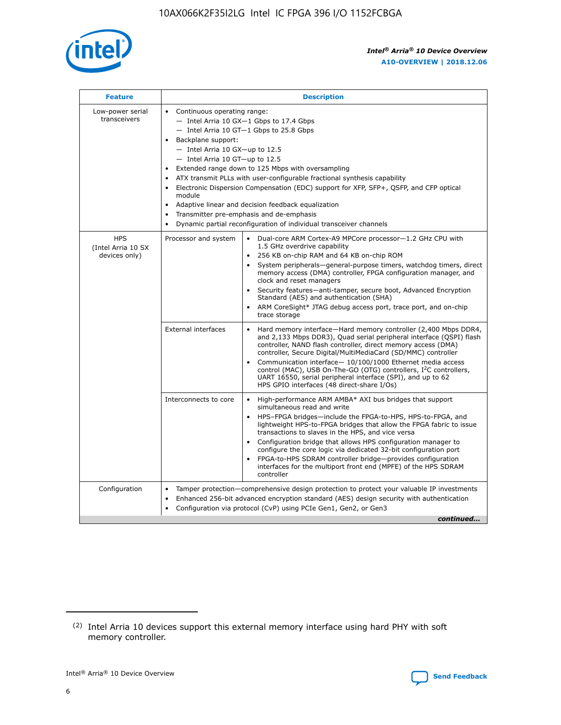

| <b>Feature</b>                                    | <b>Description</b>                                                                                                                                                                                                                                                                                                                                                                                                                                                                                                                                                                                                                                  |
|---------------------------------------------------|-----------------------------------------------------------------------------------------------------------------------------------------------------------------------------------------------------------------------------------------------------------------------------------------------------------------------------------------------------------------------------------------------------------------------------------------------------------------------------------------------------------------------------------------------------------------------------------------------------------------------------------------------------|
| Low-power serial<br>transceivers                  | • Continuous operating range:<br>- Intel Arria 10 GX-1 Gbps to 17.4 Gbps<br>- Intel Arria 10 GT-1 Gbps to 25.8 Gbps<br>Backplane support:<br>- Intel Arria 10 GX-up to 12.5<br>- Intel Arria 10 GT-up to 12.5<br>Extended range down to 125 Mbps with oversampling<br>ATX transmit PLLs with user-configurable fractional synthesis capability<br>Electronic Dispersion Compensation (EDC) support for XFP, SFP+, QSFP, and CFP optical<br>module<br>Adaptive linear and decision feedback equalization<br>$\bullet$<br>Transmitter pre-emphasis and de-emphasis<br>$\bullet$<br>Dynamic partial reconfiguration of individual transceiver channels |
| <b>HPS</b><br>(Intel Arria 10 SX<br>devices only) | Dual-core ARM Cortex-A9 MPCore processor-1.2 GHz CPU with<br>Processor and system<br>$\bullet$<br>1.5 GHz overdrive capability<br>256 KB on-chip RAM and 64 KB on-chip ROM<br>System peripherals—general-purpose timers, watchdog timers, direct<br>memory access (DMA) controller, FPGA configuration manager, and<br>clock and reset managers<br>Security features-anti-tamper, secure boot, Advanced Encryption<br>Standard (AES) and authentication (SHA)<br>ARM CoreSight* JTAG debug access port, trace port, and on-chip<br>trace storage                                                                                                    |
|                                                   | <b>External interfaces</b><br>Hard memory interface-Hard memory controller (2,400 Mbps DDR4,<br>$\bullet$<br>and 2,133 Mbps DDR3), Quad serial peripheral interface (QSPI) flash<br>controller, NAND flash controller, direct memory access (DMA)<br>controller, Secure Digital/MultiMediaCard (SD/MMC) controller<br>Communication interface-10/100/1000 Ethernet media access<br>control (MAC), USB On-The-GO (OTG) controllers, I <sup>2</sup> C controllers,<br>UART 16550, serial peripheral interface (SPI), and up to 62<br>HPS GPIO interfaces (48 direct-share I/Os)                                                                       |
|                                                   | High-performance ARM AMBA* AXI bus bridges that support<br>Interconnects to core<br>$\bullet$<br>simultaneous read and write<br>HPS-FPGA bridges-include the FPGA-to-HPS, HPS-to-FPGA, and<br>$\bullet$<br>lightweight HPS-to-FPGA bridges that allow the FPGA fabric to issue<br>transactions to slaves in the HPS, and vice versa<br>Configuration bridge that allows HPS configuration manager to<br>configure the core logic via dedicated 32-bit configuration port<br>FPGA-to-HPS SDRAM controller bridge-provides configuration<br>interfaces for the multiport front end (MPFE) of the HPS SDRAM<br>controller                              |
| Configuration                                     | Tamper protection—comprehensive design protection to protect your valuable IP investments<br>Enhanced 256-bit advanced encryption standard (AES) design security with authentication<br>٠<br>Configuration via protocol (CvP) using PCIe Gen1, Gen2, or Gen3<br>continued                                                                                                                                                                                                                                                                                                                                                                           |

<sup>(2)</sup> Intel Arria 10 devices support this external memory interface using hard PHY with soft memory controller.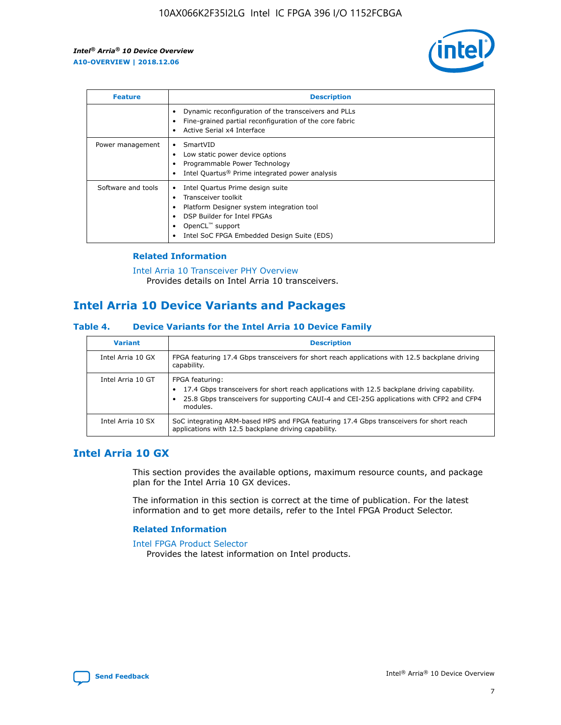

| <b>Feature</b>     | <b>Description</b>                                                                                                                                                                                               |
|--------------------|------------------------------------------------------------------------------------------------------------------------------------------------------------------------------------------------------------------|
|                    | Dynamic reconfiguration of the transceivers and PLLs<br>Fine-grained partial reconfiguration of the core fabric<br>Active Serial x4 Interface<br>$\bullet$                                                       |
| Power management   | SmartVID<br>Low static power device options<br>Programmable Power Technology<br>Intel Quartus <sup>®</sup> Prime integrated power analysis                                                                       |
| Software and tools | Intel Quartus Prime design suite<br>Transceiver toolkit<br>Platform Designer system integration tool<br>DSP Builder for Intel FPGAs<br>OpenCL <sup>™</sup> support<br>Intel SoC FPGA Embedded Design Suite (EDS) |

### **Related Information**

[Intel Arria 10 Transceiver PHY Overview](https://www.intel.com/content/www/us/en/programmable/documentation/nik1398707230472.html#nik1398706768037) Provides details on Intel Arria 10 transceivers.

# **Intel Arria 10 Device Variants and Packages**

### **Table 4. Device Variants for the Intel Arria 10 Device Family**

| <b>Variant</b>    | <b>Description</b>                                                                                                                                                                                                     |
|-------------------|------------------------------------------------------------------------------------------------------------------------------------------------------------------------------------------------------------------------|
| Intel Arria 10 GX | FPGA featuring 17.4 Gbps transceivers for short reach applications with 12.5 backplane driving<br>capability.                                                                                                          |
| Intel Arria 10 GT | FPGA featuring:<br>17.4 Gbps transceivers for short reach applications with 12.5 backplane driving capability.<br>25.8 Gbps transceivers for supporting CAUI-4 and CEI-25G applications with CFP2 and CFP4<br>modules. |
| Intel Arria 10 SX | SoC integrating ARM-based HPS and FPGA featuring 17.4 Gbps transceivers for short reach<br>applications with 12.5 backplane driving capability.                                                                        |

# **Intel Arria 10 GX**

This section provides the available options, maximum resource counts, and package plan for the Intel Arria 10 GX devices.

The information in this section is correct at the time of publication. For the latest information and to get more details, refer to the Intel FPGA Product Selector.

### **Related Information**

#### [Intel FPGA Product Selector](http://www.altera.com/products/selector/psg-selector.html) Provides the latest information on Intel products.

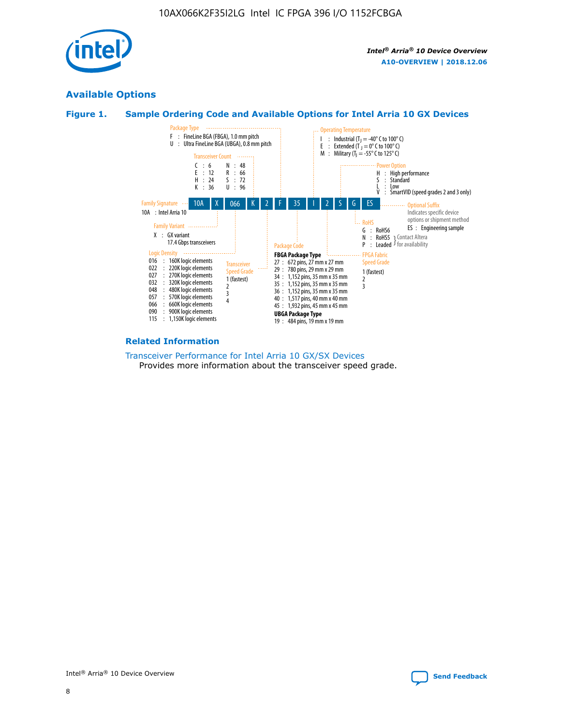

# **Available Options**





### **Related Information**

[Transceiver Performance for Intel Arria 10 GX/SX Devices](https://www.intel.com/content/www/us/en/programmable/documentation/mcn1413182292568.html#mcn1413213965502) Provides more information about the transceiver speed grade.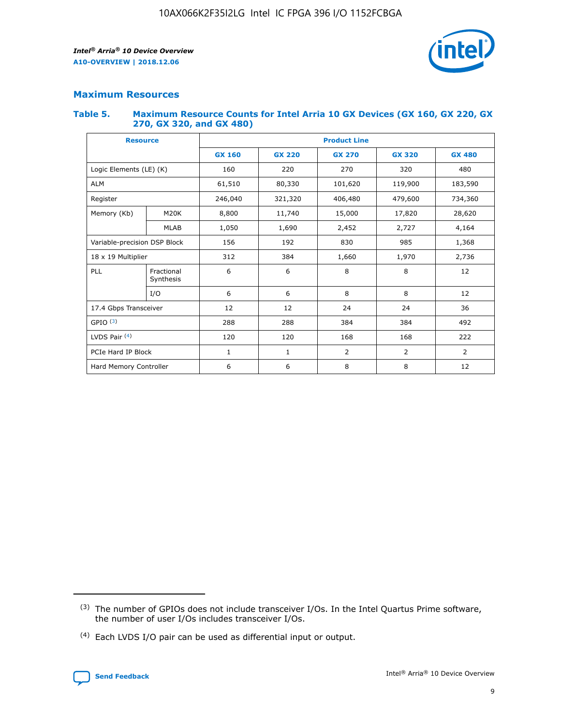

### **Maximum Resources**

### **Table 5. Maximum Resource Counts for Intel Arria 10 GX Devices (GX 160, GX 220, GX 270, GX 320, and GX 480)**

| <b>Resource</b>         |                                                          | <b>Product Line</b> |                                                 |         |                |                |  |  |  |
|-------------------------|----------------------------------------------------------|---------------------|-------------------------------------------------|---------|----------------|----------------|--|--|--|
|                         |                                                          | <b>GX 160</b>       | <b>GX 220</b><br><b>GX 270</b><br><b>GX 320</b> |         |                | <b>GX 480</b>  |  |  |  |
| Logic Elements (LE) (K) |                                                          | 160                 | 220                                             | 270     | 320            | 480            |  |  |  |
| <b>ALM</b>              |                                                          | 61,510              | 80,330                                          | 101,620 | 119,900        | 183,590        |  |  |  |
| Register                |                                                          | 246,040             | 321,320                                         | 406,480 | 479,600        | 734,360        |  |  |  |
| Memory (Kb)             | M <sub>20</sub> K                                        | 8,800               | 11,740                                          | 15,000  | 17,820         | 28,620         |  |  |  |
| <b>MLAB</b>             |                                                          | 1,050               | 1,690                                           | 2,452   | 2,727          | 4,164          |  |  |  |
|                         | Variable-precision DSP Block<br>156<br>192<br>830<br>985 |                     |                                                 |         | 1,368          |                |  |  |  |
| 18 x 19 Multiplier      |                                                          | 312                 | 384                                             | 1,660   | 1,970          | 2,736          |  |  |  |
| PLL                     | Fractional<br>Synthesis                                  | 6                   | 6                                               | 8       | 8              | 12             |  |  |  |
|                         | I/O                                                      | 6                   | 6                                               | 8       | 8              | 12             |  |  |  |
| 17.4 Gbps Transceiver   |                                                          | 12                  | 12                                              | 24      | 24             | 36             |  |  |  |
| GPIO <sup>(3)</sup>     |                                                          | 288                 | 288                                             | 384     | 384            | 492            |  |  |  |
| LVDS Pair $(4)$         |                                                          | 120                 | 120                                             | 168     | 168            | 222            |  |  |  |
| PCIe Hard IP Block      |                                                          | 1                   | 1                                               | 2       | $\overline{2}$ | $\overline{2}$ |  |  |  |
| Hard Memory Controller  |                                                          | 6                   | 6                                               | 8       | 8              | 12             |  |  |  |

<sup>(4)</sup> Each LVDS I/O pair can be used as differential input or output.



<sup>(3)</sup> The number of GPIOs does not include transceiver I/Os. In the Intel Quartus Prime software, the number of user I/Os includes transceiver I/Os.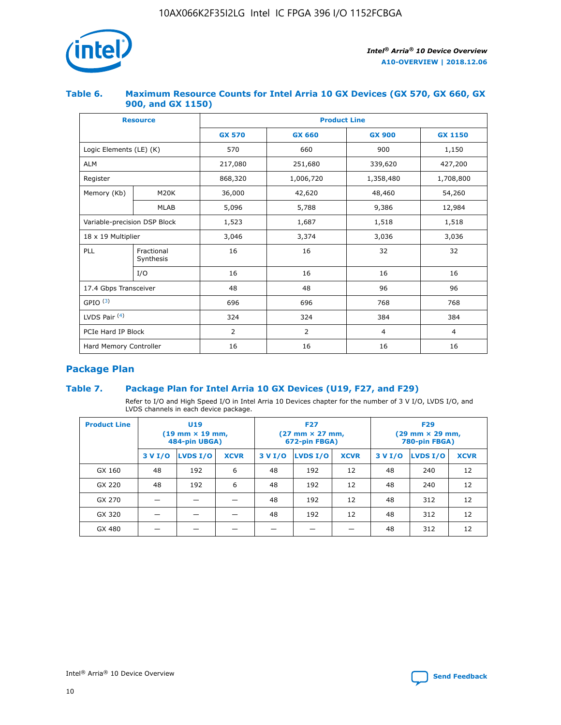

### **Table 6. Maximum Resource Counts for Intel Arria 10 GX Devices (GX 570, GX 660, GX 900, and GX 1150)**

|                              | <b>Resource</b>         | <b>Product Line</b> |                |                  |                |  |  |  |
|------------------------------|-------------------------|---------------------|----------------|------------------|----------------|--|--|--|
|                              |                         | <b>GX 570</b>       | <b>GX 660</b>  | <b>GX 900</b>    | <b>GX 1150</b> |  |  |  |
| Logic Elements (LE) (K)      |                         | 570                 | 660            | 900              | 1,150          |  |  |  |
| <b>ALM</b>                   |                         | 217,080             | 251,680        | 339,620          | 427,200        |  |  |  |
| Register                     |                         | 868,320             | 1,006,720      | 1,358,480        | 1,708,800      |  |  |  |
| Memory (Kb)                  | <b>M20K</b>             | 36,000              | 42,620         | 48,460<br>54,260 |                |  |  |  |
|                              | <b>MLAB</b>             | 5,096               | 5,788          |                  | 12,984         |  |  |  |
| Variable-precision DSP Block |                         | 1,523               | 1,687          | 1,518            | 1,518          |  |  |  |
| 18 x 19 Multiplier           |                         | 3,046               | 3,374          | 3,036            | 3,036          |  |  |  |
| PLL                          | Fractional<br>Synthesis | 16                  | 16             | 32               | 32             |  |  |  |
|                              | I/O                     | 16                  | 16             | 16               | 16             |  |  |  |
| 17.4 Gbps Transceiver        |                         | 48                  | 48             | 96               | 96             |  |  |  |
| GPIO <sup>(3)</sup>          |                         | 696                 | 696            | 768              | 768            |  |  |  |
| LVDS Pair $(4)$              |                         | 324                 | 324            |                  | 384            |  |  |  |
| PCIe Hard IP Block           |                         | 2                   | $\overline{2}$ | $\overline{4}$   | $\overline{4}$ |  |  |  |
| Hard Memory Controller       |                         | 16                  | 16             | 16               | 16             |  |  |  |

# **Package Plan**

# **Table 7. Package Plan for Intel Arria 10 GX Devices (U19, F27, and F29)**

Refer to I/O and High Speed I/O in Intel Arria 10 Devices chapter for the number of 3 V I/O, LVDS I/O, and LVDS channels in each device package.

| <b>Product Line</b> | U <sub>19</sub><br>$(19 \text{ mm} \times 19 \text{ mm})$<br>484-pin UBGA) |          |             |         | <b>F27</b><br>(27 mm × 27 mm,<br>672-pin FBGA) |             | <b>F29</b><br>(29 mm × 29 mm,<br>780-pin FBGA) |          |             |  |
|---------------------|----------------------------------------------------------------------------|----------|-------------|---------|------------------------------------------------|-------------|------------------------------------------------|----------|-------------|--|
|                     | 3 V I/O                                                                    | LVDS I/O | <b>XCVR</b> | 3 V I/O | <b>LVDS I/O</b>                                | <b>XCVR</b> | 3 V I/O                                        | LVDS I/O | <b>XCVR</b> |  |
| GX 160              | 48                                                                         | 192      | 6           | 48      | 192                                            | 12          | 48                                             | 240      | 12          |  |
| GX 220              | 48                                                                         | 192      | 6           | 48      | 192                                            | 12          | 48                                             | 240      | 12          |  |
| GX 270              |                                                                            |          |             | 48      | 192                                            | 12          | 48                                             | 312      | 12          |  |
| GX 320              |                                                                            |          |             | 48      | 192                                            | 12          | 48                                             | 312      | 12          |  |
| GX 480              |                                                                            |          |             |         |                                                |             | 48                                             | 312      | 12          |  |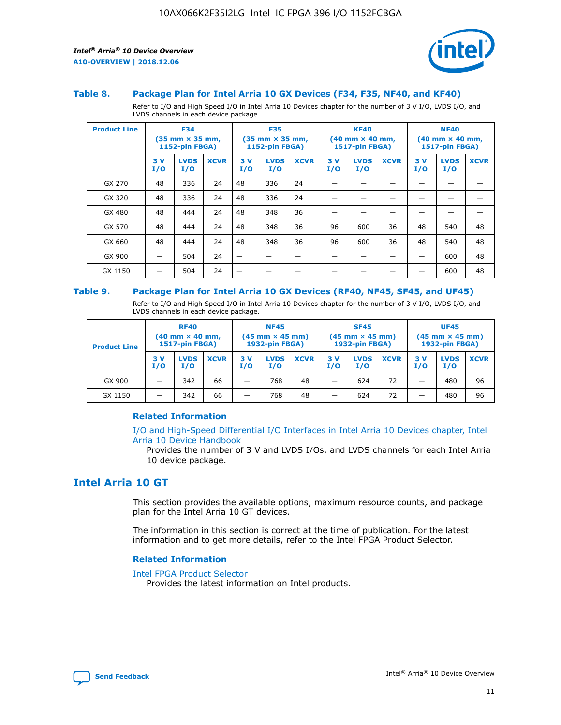



### **Table 8. Package Plan for Intel Arria 10 GX Devices (F34, F35, NF40, and KF40)**

Refer to I/O and High Speed I/O in Intel Arria 10 Devices chapter for the number of 3 V I/O, LVDS I/O, and LVDS channels in each device package.

| <b>Product Line</b> | <b>F34</b><br>(35 mm × 35 mm,<br><b>1152-pin FBGA)</b> |                    | <b>F35</b><br>$(35$ mm $\times$ 35 mm,<br><b>1152-pin FBGA)</b> |           | <b>KF40</b><br>$(40 \text{ mm} \times 40 \text{ mm})$<br>1517-pin FBGA) |             |           | <b>NF40</b><br>$(40 \text{ mm} \times 40 \text{ mm})$<br><b>1517-pin FBGA)</b> |             |           |                    |             |
|---------------------|--------------------------------------------------------|--------------------|-----------------------------------------------------------------|-----------|-------------------------------------------------------------------------|-------------|-----------|--------------------------------------------------------------------------------|-------------|-----------|--------------------|-------------|
|                     | 3V<br>I/O                                              | <b>LVDS</b><br>I/O | <b>XCVR</b>                                                     | 3V<br>I/O | <b>LVDS</b><br>I/O                                                      | <b>XCVR</b> | 3V<br>I/O | <b>LVDS</b><br>I/O                                                             | <b>XCVR</b> | 3V<br>I/O | <b>LVDS</b><br>I/O | <b>XCVR</b> |
| GX 270              | 48                                                     | 336                | 24                                                              | 48        | 336                                                                     | 24          |           |                                                                                |             |           |                    |             |
| GX 320              | 48                                                     | 336                | 24                                                              | 48        | 336                                                                     | 24          |           |                                                                                |             |           |                    |             |
| GX 480              | 48                                                     | 444                | 24                                                              | 48        | 348                                                                     | 36          |           |                                                                                |             |           |                    |             |
| GX 570              | 48                                                     | 444                | 24                                                              | 48        | 348                                                                     | 36          | 96        | 600                                                                            | 36          | 48        | 540                | 48          |
| GX 660              | 48                                                     | 444                | 24                                                              | 48        | 348                                                                     | 36          | 96        | 600                                                                            | 36          | 48        | 540                | 48          |
| GX 900              |                                                        | 504                | 24                                                              | -         |                                                                         | -           |           |                                                                                |             |           | 600                | 48          |
| GX 1150             |                                                        | 504                | 24                                                              |           |                                                                         |             |           |                                                                                |             |           | 600                | 48          |

### **Table 9. Package Plan for Intel Arria 10 GX Devices (RF40, NF45, SF45, and UF45)**

Refer to I/O and High Speed I/O in Intel Arria 10 Devices chapter for the number of 3 V I/O, LVDS I/O, and LVDS channels in each device package.

| <b>Product Line</b> | <b>RF40</b><br>$(40$ mm $\times$ 40 mm,<br>1517-pin FBGA) |                    |             | <b>NF45</b><br>$(45 \text{ mm} \times 45 \text{ mm})$<br><b>1932-pin FBGA)</b> |                    |             | <b>SF45</b><br>$(45 \text{ mm} \times 45 \text{ mm})$<br><b>1932-pin FBGA)</b> |                    |             | <b>UF45</b><br>$(45 \text{ mm} \times 45 \text{ mm})$<br><b>1932-pin FBGA)</b> |                    |             |
|---------------------|-----------------------------------------------------------|--------------------|-------------|--------------------------------------------------------------------------------|--------------------|-------------|--------------------------------------------------------------------------------|--------------------|-------------|--------------------------------------------------------------------------------|--------------------|-------------|
|                     | 3V<br>I/O                                                 | <b>LVDS</b><br>I/O | <b>XCVR</b> | 3 V<br>I/O                                                                     | <b>LVDS</b><br>I/O | <b>XCVR</b> | 3 V<br>I/O                                                                     | <b>LVDS</b><br>I/O | <b>XCVR</b> | 3V<br>I/O                                                                      | <b>LVDS</b><br>I/O | <b>XCVR</b> |
| GX 900              |                                                           | 342                | 66          | _                                                                              | 768                | 48          |                                                                                | 624                | 72          |                                                                                | 480                | 96          |
| GX 1150             |                                                           | 342                | 66          | _                                                                              | 768                | 48          |                                                                                | 624                | 72          |                                                                                | 480                | 96          |

### **Related Information**

[I/O and High-Speed Differential I/O Interfaces in Intel Arria 10 Devices chapter, Intel](https://www.intel.com/content/www/us/en/programmable/documentation/sam1403482614086.html#sam1403482030321) [Arria 10 Device Handbook](https://www.intel.com/content/www/us/en/programmable/documentation/sam1403482614086.html#sam1403482030321)

Provides the number of 3 V and LVDS I/Os, and LVDS channels for each Intel Arria 10 device package.

# **Intel Arria 10 GT**

This section provides the available options, maximum resource counts, and package plan for the Intel Arria 10 GT devices.

The information in this section is correct at the time of publication. For the latest information and to get more details, refer to the Intel FPGA Product Selector.

#### **Related Information**

### [Intel FPGA Product Selector](http://www.altera.com/products/selector/psg-selector.html)

Provides the latest information on Intel products.

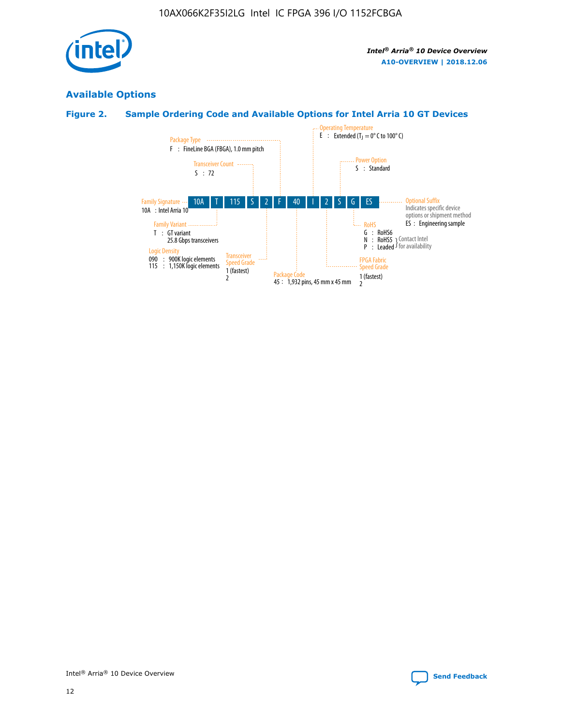

# **Available Options**

# **Figure 2. Sample Ordering Code and Available Options for Intel Arria 10 GT Devices**

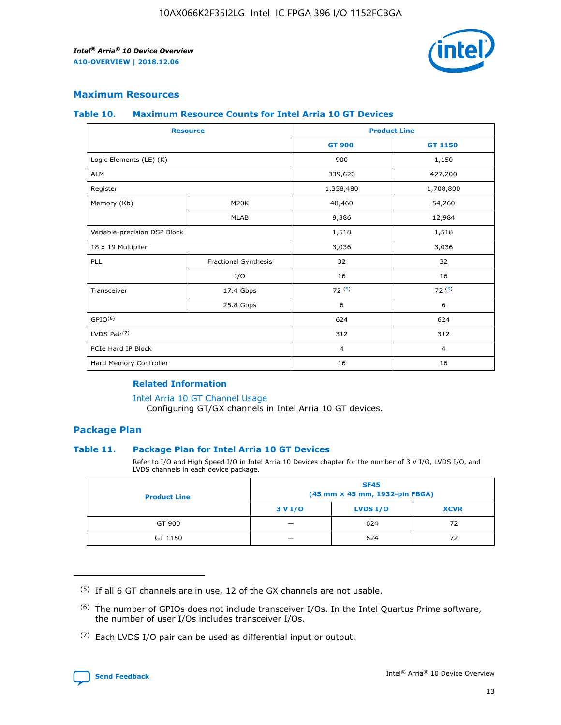

### **Maximum Resources**

### **Table 10. Maximum Resource Counts for Intel Arria 10 GT Devices**

| <b>Resource</b>              |                      | <b>Product Line</b> |                |  |
|------------------------------|----------------------|---------------------|----------------|--|
|                              |                      | <b>GT 900</b>       | <b>GT 1150</b> |  |
| Logic Elements (LE) (K)      |                      | 900                 | 1,150          |  |
| <b>ALM</b>                   |                      | 339,620             | 427,200        |  |
| Register                     |                      | 1,358,480           | 1,708,800      |  |
| Memory (Kb)                  | M20K                 | 48,460              | 54,260         |  |
|                              | <b>MLAB</b>          | 9,386               | 12,984         |  |
| Variable-precision DSP Block |                      | 1,518               | 1,518          |  |
| 18 x 19 Multiplier           |                      | 3,036               | 3,036          |  |
| PLL                          | Fractional Synthesis | 32                  | 32             |  |
|                              | I/O                  | 16                  | 16             |  |
| Transceiver                  | 17.4 Gbps            | 72(5)               | 72(5)          |  |
|                              | 25.8 Gbps            | 6                   | 6              |  |
| GPIO <sup>(6)</sup>          |                      | 624                 | 624            |  |
| LVDS Pair $(7)$              |                      | 312                 | 312            |  |
| PCIe Hard IP Block           |                      | $\overline{4}$      | $\overline{4}$ |  |
| Hard Memory Controller       |                      | 16                  | 16             |  |

### **Related Information**

#### [Intel Arria 10 GT Channel Usage](https://www.intel.com/content/www/us/en/programmable/documentation/nik1398707230472.html#nik1398707008178)

Configuring GT/GX channels in Intel Arria 10 GT devices.

### **Package Plan**

### **Table 11. Package Plan for Intel Arria 10 GT Devices**

Refer to I/O and High Speed I/O in Intel Arria 10 Devices chapter for the number of 3 V I/O, LVDS I/O, and LVDS channels in each device package.

| <b>Product Line</b> | <b>SF45</b><br>(45 mm × 45 mm, 1932-pin FBGA) |                 |             |  |  |  |
|---------------------|-----------------------------------------------|-----------------|-------------|--|--|--|
|                     | 3 V I/O                                       | <b>LVDS I/O</b> | <b>XCVR</b> |  |  |  |
| GT 900              |                                               | 624             | 72          |  |  |  |
| GT 1150             |                                               | 624             | 72          |  |  |  |

<sup>(7)</sup> Each LVDS I/O pair can be used as differential input or output.



 $(5)$  If all 6 GT channels are in use, 12 of the GX channels are not usable.

<sup>(6)</sup> The number of GPIOs does not include transceiver I/Os. In the Intel Quartus Prime software, the number of user I/Os includes transceiver I/Os.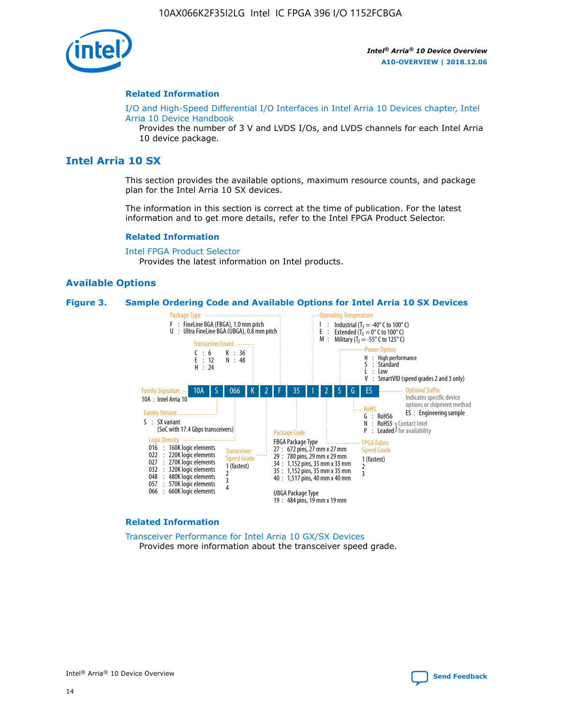

### **Related Information**

[I/O and High-Speed Differential I/O Interfaces in Intel Arria 10 Devices chapter, Intel](https://www.intel.com/content/www/us/en/programmable/documentation/sam1403482614086.html#sam1403482030321) [Arria 10 Device Handbook](https://www.intel.com/content/www/us/en/programmable/documentation/sam1403482614086.html#sam1403482030321)

Provides the number of 3 V and LVDS I/Os, and LVDS channels for each Intel Arria 10 device package.

# **Intel Arria 10 SX**

This section provides the available options, maximum resource counts, and package plan for the Intel Arria 10 SX devices.

The information in this section is correct at the time of publication. For the latest information and to get more details, refer to the Intel FPGA Product Selector.

### **Related Information**

[Intel FPGA Product Selector](http://www.altera.com/products/selector/psg-selector.html) Provides the latest information on Intel products.

### **Available Options**

#### **Figure 3. Sample Ordering Code and Available Options for Intel Arria 10 SX Devices**



#### **Related Information**

[Transceiver Performance for Intel Arria 10 GX/SX Devices](https://www.intel.com/content/www/us/en/programmable/documentation/mcn1413182292568.html#mcn1413213965502) Provides more information about the transceiver speed grade.

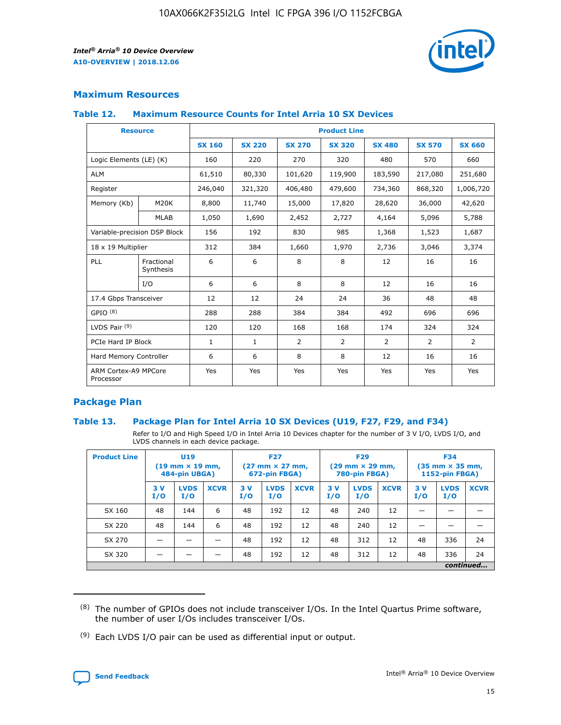

# **Maximum Resources**

### **Table 12. Maximum Resource Counts for Intel Arria 10 SX Devices**

| <b>Resource</b>                   |                         | <b>Product Line</b> |               |                |                |                |                |                |  |  |  |
|-----------------------------------|-------------------------|---------------------|---------------|----------------|----------------|----------------|----------------|----------------|--|--|--|
|                                   |                         | <b>SX 160</b>       | <b>SX 220</b> | <b>SX 270</b>  | <b>SX 320</b>  | <b>SX 480</b>  | <b>SX 570</b>  | <b>SX 660</b>  |  |  |  |
| Logic Elements (LE) (K)           |                         | 160                 | 220           | 270            | 320            | 480            | 570            | 660            |  |  |  |
| <b>ALM</b>                        |                         | 61,510              | 80,330        | 101,620        | 119,900        | 183,590        | 217,080        | 251,680        |  |  |  |
| Register                          |                         | 246,040             | 321,320       | 406,480        | 479,600        | 734,360        | 868,320        | 1,006,720      |  |  |  |
| Memory (Kb)                       | <b>M20K</b>             | 8,800               | 11,740        | 15,000         | 17,820         | 28,620         | 36,000         | 42,620         |  |  |  |
|                                   | <b>MLAB</b>             | 1,050               | 1,690         | 2,452          | 2,727          | 4,164          | 5,096          | 5,788          |  |  |  |
| Variable-precision DSP Block      |                         | 156                 | 192           | 830            | 985            | 1,368          | 1,523          | 1,687          |  |  |  |
| 18 x 19 Multiplier                |                         | 312                 | 384           | 1,660          | 1,970          | 2,736          | 3,046          | 3,374          |  |  |  |
| PLL                               | Fractional<br>Synthesis | 6                   | 6             | 8              | 8              | 12             | 16             | 16             |  |  |  |
|                                   | I/O                     | 6                   | 6             | 8              | 8              | 12             | 16             | 16             |  |  |  |
| 17.4 Gbps Transceiver             |                         | 12                  | 12            | 24             | 24             | 36             | 48             | 48             |  |  |  |
| GPIO <sup>(8)</sup>               |                         | 288                 | 288           | 384            | 384            | 492            | 696            | 696            |  |  |  |
| LVDS Pair $(9)$                   |                         | 120                 | 120           | 168            | 168            | 174            | 324            | 324            |  |  |  |
| PCIe Hard IP Block                |                         | $\mathbf{1}$        | $\mathbf{1}$  | $\overline{2}$ | $\overline{2}$ | $\overline{2}$ | $\overline{2}$ | $\overline{2}$ |  |  |  |
| Hard Memory Controller            |                         | 6                   | 6             | 8              | 8              | 12             | 16             | 16             |  |  |  |
| ARM Cortex-A9 MPCore<br>Processor |                         | Yes                 | Yes           | Yes            | Yes            | Yes            | Yes            | <b>Yes</b>     |  |  |  |

# **Package Plan**

### **Table 13. Package Plan for Intel Arria 10 SX Devices (U19, F27, F29, and F34)**

Refer to I/O and High Speed I/O in Intel Arria 10 Devices chapter for the number of 3 V I/O, LVDS I/O, and LVDS channels in each device package.

| <b>Product Line</b> | <b>U19</b><br>$(19 \text{ mm} \times 19 \text{ mm})$<br>484-pin UBGA) |                    |             | <b>F27</b><br>$(27 \text{ mm} \times 27 \text{ mm})$<br>672-pin FBGA) |                    | <b>F29</b><br>$(29 \text{ mm} \times 29 \text{ mm})$<br>780-pin FBGA) |           |                    | <b>F34</b><br>$(35 \text{ mm} \times 35 \text{ mm})$<br><b>1152-pin FBGA)</b> |           |                    |             |
|---------------------|-----------------------------------------------------------------------|--------------------|-------------|-----------------------------------------------------------------------|--------------------|-----------------------------------------------------------------------|-----------|--------------------|-------------------------------------------------------------------------------|-----------|--------------------|-------------|
|                     | 3V<br>I/O                                                             | <b>LVDS</b><br>I/O | <b>XCVR</b> | 3V<br>I/O                                                             | <b>LVDS</b><br>I/O | <b>XCVR</b>                                                           | 3V<br>I/O | <b>LVDS</b><br>I/O | <b>XCVR</b>                                                                   | 3V<br>I/O | <b>LVDS</b><br>I/O | <b>XCVR</b> |
| SX 160              | 48                                                                    | 144                | 6           | 48                                                                    | 192                | 12                                                                    | 48        | 240                | 12                                                                            | -         |                    |             |
| SX 220              | 48                                                                    | 144                | 6           | 48                                                                    | 192                | 12                                                                    | 48        | 240                | 12                                                                            |           |                    |             |
| SX 270              |                                                                       |                    |             | 48                                                                    | 192                | 12                                                                    | 48        | 312                | 12                                                                            | 48        | 336                | 24          |
| SX 320              |                                                                       |                    |             | 48                                                                    | 192                | 12                                                                    | 48        | 312                | 12                                                                            | 48        | 336                | 24          |
|                     | continued                                                             |                    |             |                                                                       |                    |                                                                       |           |                    |                                                                               |           |                    |             |

 $(8)$  The number of GPIOs does not include transceiver I/Os. In the Intel Quartus Prime software, the number of user I/Os includes transceiver I/Os.

 $(9)$  Each LVDS I/O pair can be used as differential input or output.

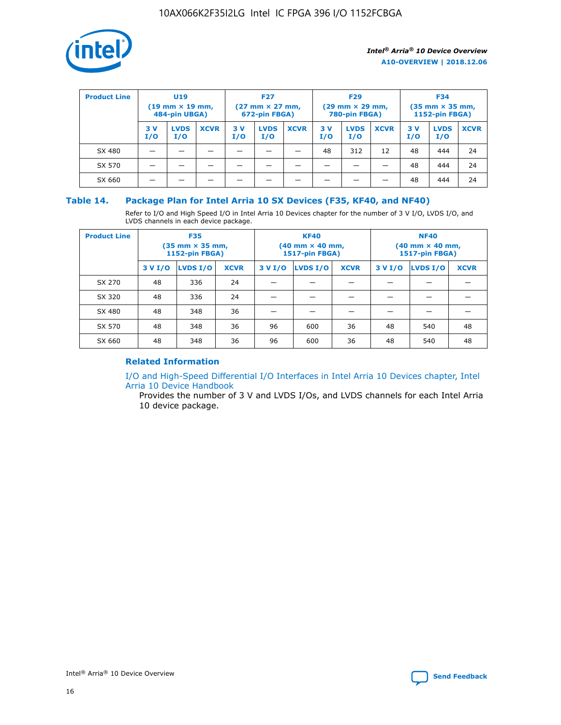

| <b>Product Line</b> | U <sub>19</sub><br>$(19 \text{ mm} \times 19 \text{ mm})$<br>484-pin UBGA) |                    | <b>F27</b><br>$(27 \text{ mm} \times 27 \text{ mm})$<br>672-pin FBGA) |           | <b>F29</b><br>$(29$ mm $\times$ 29 mm,<br>780-pin FBGA) |             |           | <b>F34</b><br>$(35$ mm $\times$ 35 mm,<br><b>1152-pin FBGA)</b> |             |            |                    |             |
|---------------------|----------------------------------------------------------------------------|--------------------|-----------------------------------------------------------------------|-----------|---------------------------------------------------------|-------------|-----------|-----------------------------------------------------------------|-------------|------------|--------------------|-------------|
|                     | 3 V<br>I/O                                                                 | <b>LVDS</b><br>I/O | <b>XCVR</b>                                                           | 3V<br>I/O | <b>LVDS</b><br>I/O                                      | <b>XCVR</b> | 3V<br>I/O | <b>LVDS</b><br>I/O                                              | <b>XCVR</b> | 3 V<br>I/O | <b>LVDS</b><br>I/O | <b>XCVR</b> |
| SX 480              |                                                                            |                    |                                                                       |           |                                                         |             | 48        | 312                                                             | 12          | 48         | 444                | 24          |
| SX 570              |                                                                            |                    |                                                                       |           |                                                         |             |           |                                                                 |             | 48         | 444                | 24          |
| SX 660              |                                                                            |                    |                                                                       |           |                                                         |             |           |                                                                 |             | 48         | 444                | 24          |

### **Table 14. Package Plan for Intel Arria 10 SX Devices (F35, KF40, and NF40)**

Refer to I/O and High Speed I/O in Intel Arria 10 Devices chapter for the number of 3 V I/O, LVDS I/O, and LVDS channels in each device package.

| <b>Product Line</b> | <b>F35</b><br>$(35 \text{ mm} \times 35 \text{ mm})$<br><b>1152-pin FBGA)</b> |          |             |                                           | <b>KF40</b><br>(40 mm × 40 mm,<br>1517-pin FBGA) |    | <b>NF40</b><br>$(40 \text{ mm} \times 40 \text{ mm})$<br>1517-pin FBGA) |          |             |  |
|---------------------|-------------------------------------------------------------------------------|----------|-------------|-------------------------------------------|--------------------------------------------------|----|-------------------------------------------------------------------------|----------|-------------|--|
|                     | 3 V I/O                                                                       | LVDS I/O | <b>XCVR</b> | <b>LVDS I/O</b><br><b>XCVR</b><br>3 V I/O |                                                  |    | 3 V I/O                                                                 | LVDS I/O | <b>XCVR</b> |  |
| SX 270              | 48                                                                            | 336      | 24          |                                           |                                                  |    |                                                                         |          |             |  |
| SX 320              | 48                                                                            | 336      | 24          |                                           |                                                  |    |                                                                         |          |             |  |
| SX 480              | 48                                                                            | 348      | 36          |                                           |                                                  |    |                                                                         |          |             |  |
| SX 570              | 48                                                                            | 348      | 36          | 96                                        | 600                                              | 36 | 48                                                                      | 540      | 48          |  |
| SX 660              | 48                                                                            | 348      | 36          | 96                                        | 600                                              | 36 | 48                                                                      | 540      | 48          |  |

# **Related Information**

[I/O and High-Speed Differential I/O Interfaces in Intel Arria 10 Devices chapter, Intel](https://www.intel.com/content/www/us/en/programmable/documentation/sam1403482614086.html#sam1403482030321) [Arria 10 Device Handbook](https://www.intel.com/content/www/us/en/programmable/documentation/sam1403482614086.html#sam1403482030321)

Provides the number of 3 V and LVDS I/Os, and LVDS channels for each Intel Arria 10 device package.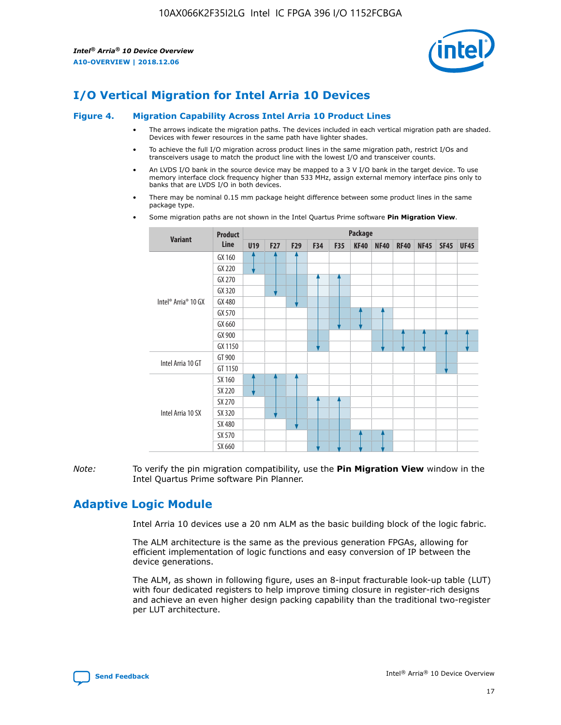

# **I/O Vertical Migration for Intel Arria 10 Devices**

### **Figure 4. Migration Capability Across Intel Arria 10 Product Lines**

- The arrows indicate the migration paths. The devices included in each vertical migration path are shaded. Devices with fewer resources in the same path have lighter shades.
- To achieve the full I/O migration across product lines in the same migration path, restrict I/Os and transceivers usage to match the product line with the lowest I/O and transceiver counts.
- An LVDS I/O bank in the source device may be mapped to a 3 V I/O bank in the target device. To use memory interface clock frequency higher than 533 MHz, assign external memory interface pins only to banks that are LVDS I/O in both devices.
- There may be nominal 0.15 mm package height difference between some product lines in the same package type.
	- **Variant Product Line Package U19 F27 F29 F34 F35 KF40 NF40 RF40 NF45 SF45 UF45** Intel® Arria® 10 GX GX 160 GX 220 GX 270 GX 320 GX 480 GX 570 GX 660 GX 900 GX 1150 Intel Arria 10 GT GT 900 GT 1150 Intel Arria 10 SX SX 160 SX 220 SX 270 SX 320 SX 480 SX 570 SX 660
- Some migration paths are not shown in the Intel Quartus Prime software **Pin Migration View**.

*Note:* To verify the pin migration compatibility, use the **Pin Migration View** window in the Intel Quartus Prime software Pin Planner.

# **Adaptive Logic Module**

Intel Arria 10 devices use a 20 nm ALM as the basic building block of the logic fabric.

The ALM architecture is the same as the previous generation FPGAs, allowing for efficient implementation of logic functions and easy conversion of IP between the device generations.

The ALM, as shown in following figure, uses an 8-input fracturable look-up table (LUT) with four dedicated registers to help improve timing closure in register-rich designs and achieve an even higher design packing capability than the traditional two-register per LUT architecture.

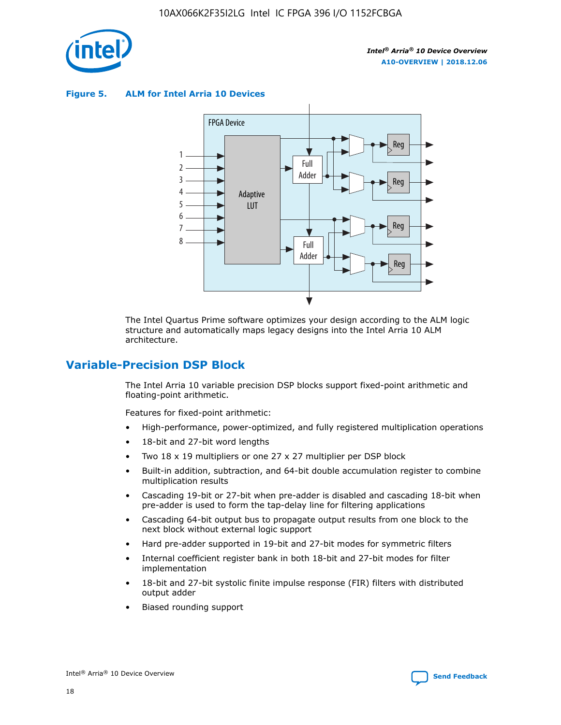

**Figure 5. ALM for Intel Arria 10 Devices**



The Intel Quartus Prime software optimizes your design according to the ALM logic structure and automatically maps legacy designs into the Intel Arria 10 ALM architecture.

# **Variable-Precision DSP Block**

The Intel Arria 10 variable precision DSP blocks support fixed-point arithmetic and floating-point arithmetic.

Features for fixed-point arithmetic:

- High-performance, power-optimized, and fully registered multiplication operations
- 18-bit and 27-bit word lengths
- Two 18 x 19 multipliers or one 27 x 27 multiplier per DSP block
- Built-in addition, subtraction, and 64-bit double accumulation register to combine multiplication results
- Cascading 19-bit or 27-bit when pre-adder is disabled and cascading 18-bit when pre-adder is used to form the tap-delay line for filtering applications
- Cascading 64-bit output bus to propagate output results from one block to the next block without external logic support
- Hard pre-adder supported in 19-bit and 27-bit modes for symmetric filters
- Internal coefficient register bank in both 18-bit and 27-bit modes for filter implementation
- 18-bit and 27-bit systolic finite impulse response (FIR) filters with distributed output adder
- Biased rounding support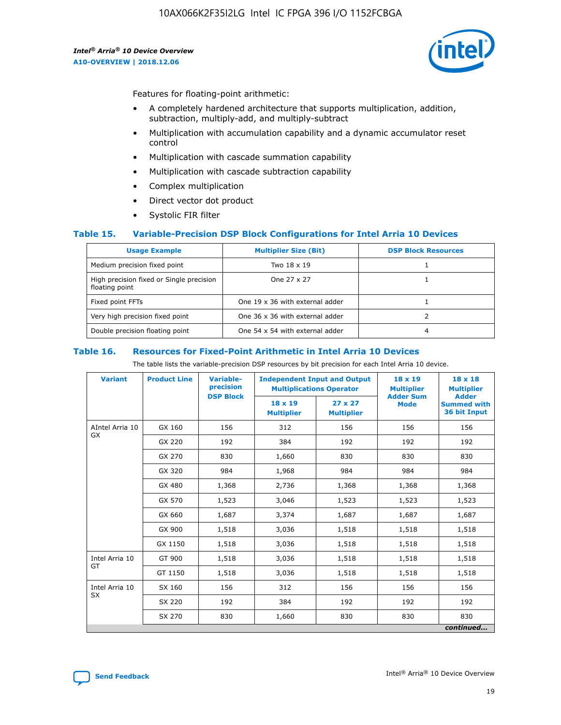

Features for floating-point arithmetic:

- A completely hardened architecture that supports multiplication, addition, subtraction, multiply-add, and multiply-subtract
- Multiplication with accumulation capability and a dynamic accumulator reset control
- Multiplication with cascade summation capability
- Multiplication with cascade subtraction capability
- Complex multiplication
- Direct vector dot product
- Systolic FIR filter

### **Table 15. Variable-Precision DSP Block Configurations for Intel Arria 10 Devices**

| <b>Usage Example</b>                                       | <b>Multiplier Size (Bit)</b>    | <b>DSP Block Resources</b> |
|------------------------------------------------------------|---------------------------------|----------------------------|
| Medium precision fixed point                               | Two 18 x 19                     |                            |
| High precision fixed or Single precision<br>floating point | One 27 x 27                     |                            |
| Fixed point FFTs                                           | One 19 x 36 with external adder |                            |
| Very high precision fixed point                            | One 36 x 36 with external adder |                            |
| Double precision floating point                            | One 54 x 54 with external adder | 4                          |

#### **Table 16. Resources for Fixed-Point Arithmetic in Intel Arria 10 Devices**

The table lists the variable-precision DSP resources by bit precision for each Intel Arria 10 device.

| <b>Variant</b>        | <b>Product Line</b> | Variable-<br>precision<br><b>DSP Block</b> | <b>Independent Input and Output</b><br><b>Multiplications Operator</b> |                                     | 18 x 19<br><b>Multiplier</b><br><b>Adder Sum</b> | $18 \times 18$<br><b>Multiplier</b><br><b>Adder</b> |
|-----------------------|---------------------|--------------------------------------------|------------------------------------------------------------------------|-------------------------------------|--------------------------------------------------|-----------------------------------------------------|
|                       |                     |                                            | 18 x 19<br><b>Multiplier</b>                                           | $27 \times 27$<br><b>Multiplier</b> | <b>Mode</b>                                      | <b>Summed with</b><br>36 bit Input                  |
| AIntel Arria 10<br>GX | GX 160              | 156                                        | 312                                                                    | 156                                 | 156                                              | 156                                                 |
|                       | GX 220              | 192                                        | 384                                                                    | 192                                 | 192                                              | 192                                                 |
|                       | GX 270              | 830                                        | 1,660                                                                  | 830                                 | 830                                              | 830                                                 |
|                       | GX 320              | 984                                        | 1,968                                                                  | 984                                 | 984                                              | 984                                                 |
|                       | GX 480              | 1,368                                      | 2,736                                                                  | 1,368                               | 1,368                                            | 1,368                                               |
|                       | GX 570              | 1,523                                      | 3,046                                                                  | 1,523                               | 1,523                                            | 1,523                                               |
|                       | GX 660              | 1,687                                      | 3,374                                                                  | 1,687                               | 1,687                                            | 1,687                                               |
|                       | GX 900              | 1,518                                      | 3,036                                                                  | 1,518                               | 1,518                                            | 1,518                                               |
|                       | GX 1150             | 1,518                                      | 3,036                                                                  | 1,518                               | 1,518                                            | 1,518                                               |
| Intel Arria 10        | GT 900              | 1,518                                      | 3,036                                                                  | 1,518                               | 1,518                                            | 1,518                                               |
| GT                    | GT 1150             | 1,518                                      | 3,036                                                                  | 1,518                               | 1,518                                            | 1,518                                               |
| Intel Arria 10        | SX 160              | 156                                        | 312                                                                    | 156                                 | 156                                              | 156                                                 |
| <b>SX</b>             | SX 220              | 192                                        | 384                                                                    | 192                                 | 192                                              | 192                                                 |
|                       | SX 270              | 830                                        | 1,660                                                                  | 830                                 | 830                                              | 830                                                 |
|                       |                     |                                            |                                                                        |                                     |                                                  | continued                                           |

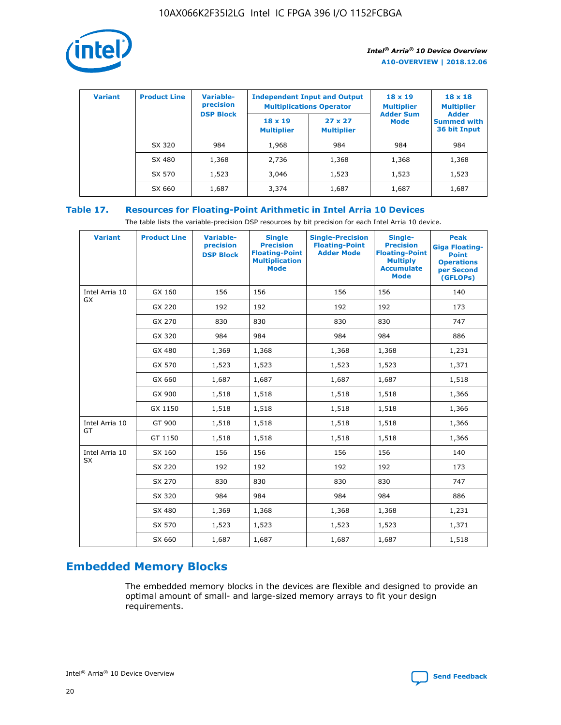

| <b>Variant</b> | <b>Product Line</b> | <b>Variable-</b><br>precision<br><b>DSP Block</b> | <b>Independent Input and Output</b><br><b>Multiplications Operator</b> |                                     | $18 \times 19$<br><b>Multiplier</b><br><b>Adder Sum</b> | $18 \times 18$<br><b>Multiplier</b><br><b>Adder</b> |  |
|----------------|---------------------|---------------------------------------------------|------------------------------------------------------------------------|-------------------------------------|---------------------------------------------------------|-----------------------------------------------------|--|
|                |                     |                                                   | $18 \times 19$<br><b>Multiplier</b>                                    | $27 \times 27$<br><b>Multiplier</b> | <b>Mode</b>                                             | <b>Summed with</b><br>36 bit Input                  |  |
|                | SX 320              | 984                                               | 1,968                                                                  | 984                                 | 984                                                     | 984                                                 |  |
|                | SX 480              | 1,368                                             | 2,736                                                                  | 1,368                               | 1,368                                                   | 1,368                                               |  |
|                | SX 570              | 1,523                                             | 3,046                                                                  | 1,523                               | 1,523                                                   | 1,523                                               |  |
|                | SX 660              | 1,687                                             | 3,374                                                                  | 1,687                               | 1,687                                                   | 1,687                                               |  |

# **Table 17. Resources for Floating-Point Arithmetic in Intel Arria 10 Devices**

The table lists the variable-precision DSP resources by bit precision for each Intel Arria 10 device.

| <b>Variant</b>              | <b>Product Line</b> | <b>Variable-</b><br>precision<br><b>DSP Block</b> | <b>Single</b><br><b>Precision</b><br><b>Floating-Point</b><br><b>Multiplication</b><br><b>Mode</b> | <b>Single-Precision</b><br><b>Floating-Point</b><br><b>Adder Mode</b> | Single-<br><b>Precision</b><br><b>Floating-Point</b><br><b>Multiply</b><br><b>Accumulate</b><br><b>Mode</b> | <b>Peak</b><br><b>Giga Floating-</b><br><b>Point</b><br><b>Operations</b><br>per Second<br>(GFLOPs) |
|-----------------------------|---------------------|---------------------------------------------------|----------------------------------------------------------------------------------------------------|-----------------------------------------------------------------------|-------------------------------------------------------------------------------------------------------------|-----------------------------------------------------------------------------------------------------|
| Intel Arria 10<br>GX        | GX 160              | 156                                               | 156                                                                                                | 156                                                                   | 156                                                                                                         | 140                                                                                                 |
|                             | GX 220              | 192                                               | 192                                                                                                | 192                                                                   | 192                                                                                                         | 173                                                                                                 |
|                             | GX 270              | 830                                               | 830                                                                                                | 830                                                                   | 830                                                                                                         | 747                                                                                                 |
|                             | GX 320              | 984                                               | 984                                                                                                | 984                                                                   | 984                                                                                                         | 886                                                                                                 |
|                             | GX 480              | 1,369                                             | 1,368                                                                                              | 1,368                                                                 | 1,368                                                                                                       | 1,231                                                                                               |
|                             | GX 570              | 1,523                                             | 1,523                                                                                              | 1,523                                                                 | 1,523                                                                                                       | 1,371                                                                                               |
|                             | GX 660              | 1,687                                             | 1,687                                                                                              | 1,687                                                                 | 1,687                                                                                                       | 1,518                                                                                               |
|                             | GX 900              | 1,518                                             | 1,518                                                                                              | 1,518                                                                 | 1,518                                                                                                       | 1,366                                                                                               |
|                             | GX 1150             | 1,518                                             | 1,518                                                                                              | 1,518                                                                 | 1,518                                                                                                       | 1,366                                                                                               |
| Intel Arria 10              | GT 900              | 1,518                                             | 1,518                                                                                              | 1,518                                                                 | 1,518                                                                                                       | 1,366                                                                                               |
| GT                          | GT 1150             | 1,518                                             | 1,518                                                                                              | 1,518                                                                 | 1,518                                                                                                       | 1,366                                                                                               |
| Intel Arria 10<br><b>SX</b> | SX 160              | 156                                               | 156                                                                                                | 156                                                                   | 156                                                                                                         | 140                                                                                                 |
|                             | SX 220              | 192                                               | 192                                                                                                | 192                                                                   | 192                                                                                                         | 173                                                                                                 |
|                             | SX 270              | 830                                               | 830                                                                                                | 830                                                                   | 830                                                                                                         | 747                                                                                                 |
|                             | SX 320              | 984                                               | 984                                                                                                | 984                                                                   | 984                                                                                                         | 886                                                                                                 |
|                             | SX 480              | 1,369                                             | 1,368                                                                                              | 1,368                                                                 | 1,368                                                                                                       | 1,231                                                                                               |
|                             | SX 570              | 1,523                                             | 1,523                                                                                              | 1,523                                                                 | 1,523                                                                                                       | 1,371                                                                                               |
|                             | SX 660              | 1,687                                             | 1,687                                                                                              | 1,687                                                                 | 1,687                                                                                                       | 1,518                                                                                               |

# **Embedded Memory Blocks**

The embedded memory blocks in the devices are flexible and designed to provide an optimal amount of small- and large-sized memory arrays to fit your design requirements.

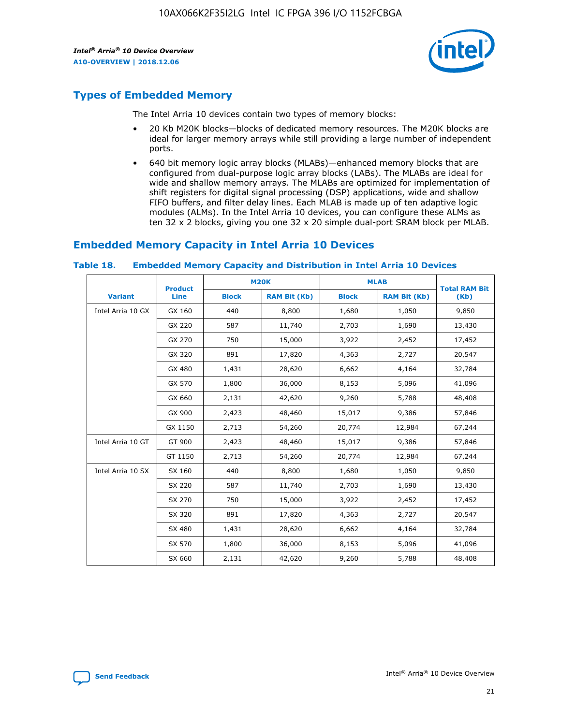

# **Types of Embedded Memory**

The Intel Arria 10 devices contain two types of memory blocks:

- 20 Kb M20K blocks—blocks of dedicated memory resources. The M20K blocks are ideal for larger memory arrays while still providing a large number of independent ports.
- 640 bit memory logic array blocks (MLABs)—enhanced memory blocks that are configured from dual-purpose logic array blocks (LABs). The MLABs are ideal for wide and shallow memory arrays. The MLABs are optimized for implementation of shift registers for digital signal processing (DSP) applications, wide and shallow FIFO buffers, and filter delay lines. Each MLAB is made up of ten adaptive logic modules (ALMs). In the Intel Arria 10 devices, you can configure these ALMs as ten 32 x 2 blocks, giving you one 32 x 20 simple dual-port SRAM block per MLAB.

# **Embedded Memory Capacity in Intel Arria 10 Devices**

|                   | <b>Product</b> |              | <b>M20K</b>         | <b>MLAB</b>  |                     | <b>Total RAM Bit</b> |
|-------------------|----------------|--------------|---------------------|--------------|---------------------|----------------------|
| <b>Variant</b>    | <b>Line</b>    | <b>Block</b> | <b>RAM Bit (Kb)</b> | <b>Block</b> | <b>RAM Bit (Kb)</b> | (Kb)                 |
| Intel Arria 10 GX | GX 160         | 440          | 8,800               | 1,680        | 1,050               | 9,850                |
|                   | GX 220         | 587          | 11,740              | 2,703        | 1,690               | 13,430               |
|                   | GX 270         | 750          | 15,000              | 3,922        | 2,452               | 17,452               |
|                   | GX 320         | 891          | 17,820              | 4,363        | 2,727               | 20,547               |
|                   | GX 480         | 1,431        | 28,620              | 6,662        | 4,164               | 32,784               |
|                   | GX 570         | 1,800        | 36,000              | 8,153        | 5,096               | 41,096               |
|                   | GX 660         | 2,131        | 42,620              | 9,260        | 5,788               | 48,408               |
|                   | GX 900         | 2,423        | 48,460              | 15,017       | 9,386               | 57,846               |
|                   | GX 1150        | 2,713        | 54,260              | 20,774       | 12,984              | 67,244               |
| Intel Arria 10 GT | GT 900         | 2,423        | 48,460              | 15,017       | 9,386               | 57,846               |
|                   | GT 1150        | 2,713        | 54,260              | 20,774       | 12,984              | 67,244               |
| Intel Arria 10 SX | SX 160         | 440          | 8,800               | 1,680        | 1,050               | 9,850                |
|                   | SX 220         | 587          | 11,740              | 2,703        | 1,690               | 13,430               |
|                   | SX 270         | 750          | 15,000              | 3,922        | 2,452               | 17,452               |
|                   | SX 320         | 891          | 17,820              | 4,363        | 2,727               | 20,547               |
|                   | SX 480         | 1,431        | 28,620              | 6,662        | 4,164               | 32,784               |
|                   | SX 570         | 1,800        | 36,000              | 8,153        | 5,096               | 41,096               |
|                   | SX 660         | 2,131        | 42,620              | 9,260        | 5,788               | 48,408               |

#### **Table 18. Embedded Memory Capacity and Distribution in Intel Arria 10 Devices**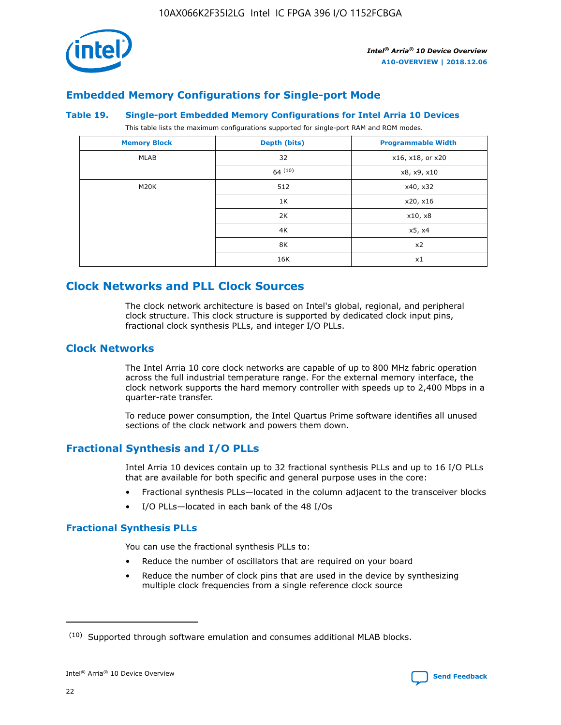

# **Embedded Memory Configurations for Single-port Mode**

### **Table 19. Single-port Embedded Memory Configurations for Intel Arria 10 Devices**

This table lists the maximum configurations supported for single-port RAM and ROM modes.

| <b>Memory Block</b> | Depth (bits) | <b>Programmable Width</b> |
|---------------------|--------------|---------------------------|
| MLAB                | 32           | x16, x18, or x20          |
|                     | 64(10)       | x8, x9, x10               |
| M20K                | 512          | x40, x32                  |
|                     | 1K           | x20, x16                  |
|                     | 2K           | x10, x8                   |
|                     | 4K           | x5, x4                    |
|                     | 8K           | x2                        |
|                     | 16K          | x1                        |

# **Clock Networks and PLL Clock Sources**

The clock network architecture is based on Intel's global, regional, and peripheral clock structure. This clock structure is supported by dedicated clock input pins, fractional clock synthesis PLLs, and integer I/O PLLs.

# **Clock Networks**

The Intel Arria 10 core clock networks are capable of up to 800 MHz fabric operation across the full industrial temperature range. For the external memory interface, the clock network supports the hard memory controller with speeds up to 2,400 Mbps in a quarter-rate transfer.

To reduce power consumption, the Intel Quartus Prime software identifies all unused sections of the clock network and powers them down.

# **Fractional Synthesis and I/O PLLs**

Intel Arria 10 devices contain up to 32 fractional synthesis PLLs and up to 16 I/O PLLs that are available for both specific and general purpose uses in the core:

- Fractional synthesis PLLs—located in the column adjacent to the transceiver blocks
- I/O PLLs—located in each bank of the 48 I/Os

# **Fractional Synthesis PLLs**

You can use the fractional synthesis PLLs to:

- Reduce the number of oscillators that are required on your board
- Reduce the number of clock pins that are used in the device by synthesizing multiple clock frequencies from a single reference clock source

<sup>(10)</sup> Supported through software emulation and consumes additional MLAB blocks.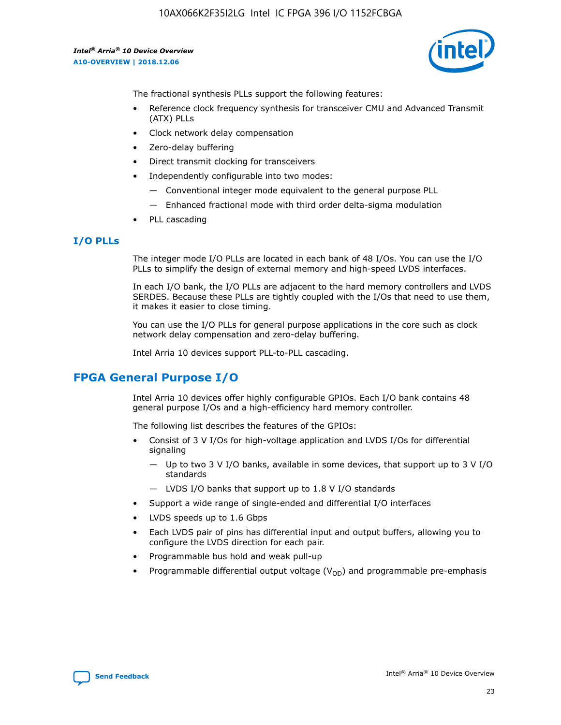

The fractional synthesis PLLs support the following features:

- Reference clock frequency synthesis for transceiver CMU and Advanced Transmit (ATX) PLLs
- Clock network delay compensation
- Zero-delay buffering
- Direct transmit clocking for transceivers
- Independently configurable into two modes:
	- Conventional integer mode equivalent to the general purpose PLL
	- Enhanced fractional mode with third order delta-sigma modulation
- PLL cascading

# **I/O PLLs**

The integer mode I/O PLLs are located in each bank of 48 I/Os. You can use the I/O PLLs to simplify the design of external memory and high-speed LVDS interfaces.

In each I/O bank, the I/O PLLs are adjacent to the hard memory controllers and LVDS SERDES. Because these PLLs are tightly coupled with the I/Os that need to use them, it makes it easier to close timing.

You can use the I/O PLLs for general purpose applications in the core such as clock network delay compensation and zero-delay buffering.

Intel Arria 10 devices support PLL-to-PLL cascading.

# **FPGA General Purpose I/O**

Intel Arria 10 devices offer highly configurable GPIOs. Each I/O bank contains 48 general purpose I/Os and a high-efficiency hard memory controller.

The following list describes the features of the GPIOs:

- Consist of 3 V I/Os for high-voltage application and LVDS I/Os for differential signaling
	- Up to two 3 V I/O banks, available in some devices, that support up to 3 V I/O standards
	- LVDS I/O banks that support up to 1.8 V I/O standards
- Support a wide range of single-ended and differential I/O interfaces
- LVDS speeds up to 1.6 Gbps
- Each LVDS pair of pins has differential input and output buffers, allowing you to configure the LVDS direction for each pair.
- Programmable bus hold and weak pull-up
- Programmable differential output voltage  $(V_{OD})$  and programmable pre-emphasis

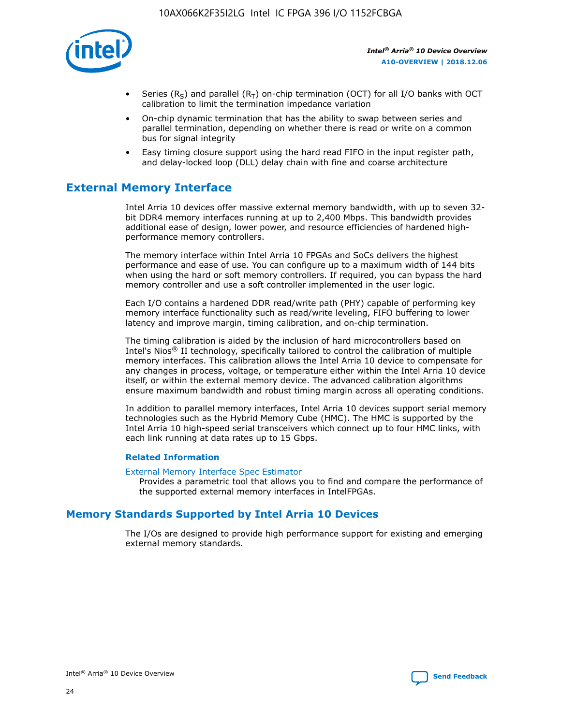

- Series (R<sub>S</sub>) and parallel (R<sub>T</sub>) on-chip termination (OCT) for all I/O banks with OCT calibration to limit the termination impedance variation
- On-chip dynamic termination that has the ability to swap between series and parallel termination, depending on whether there is read or write on a common bus for signal integrity
- Easy timing closure support using the hard read FIFO in the input register path, and delay-locked loop (DLL) delay chain with fine and coarse architecture

# **External Memory Interface**

Intel Arria 10 devices offer massive external memory bandwidth, with up to seven 32 bit DDR4 memory interfaces running at up to 2,400 Mbps. This bandwidth provides additional ease of design, lower power, and resource efficiencies of hardened highperformance memory controllers.

The memory interface within Intel Arria 10 FPGAs and SoCs delivers the highest performance and ease of use. You can configure up to a maximum width of 144 bits when using the hard or soft memory controllers. If required, you can bypass the hard memory controller and use a soft controller implemented in the user logic.

Each I/O contains a hardened DDR read/write path (PHY) capable of performing key memory interface functionality such as read/write leveling, FIFO buffering to lower latency and improve margin, timing calibration, and on-chip termination.

The timing calibration is aided by the inclusion of hard microcontrollers based on Intel's Nios® II technology, specifically tailored to control the calibration of multiple memory interfaces. This calibration allows the Intel Arria 10 device to compensate for any changes in process, voltage, or temperature either within the Intel Arria 10 device itself, or within the external memory device. The advanced calibration algorithms ensure maximum bandwidth and robust timing margin across all operating conditions.

In addition to parallel memory interfaces, Intel Arria 10 devices support serial memory technologies such as the Hybrid Memory Cube (HMC). The HMC is supported by the Intel Arria 10 high-speed serial transceivers which connect up to four HMC links, with each link running at data rates up to 15 Gbps.

### **Related Information**

#### [External Memory Interface Spec Estimator](http://www.altera.com/technology/memory/estimator/mem-emif-index.html)

Provides a parametric tool that allows you to find and compare the performance of the supported external memory interfaces in IntelFPGAs.

# **Memory Standards Supported by Intel Arria 10 Devices**

The I/Os are designed to provide high performance support for existing and emerging external memory standards.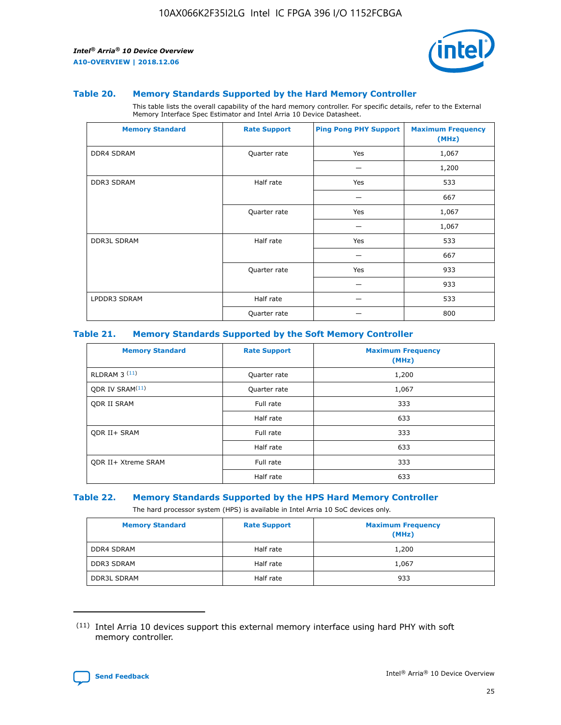

### **Table 20. Memory Standards Supported by the Hard Memory Controller**

This table lists the overall capability of the hard memory controller. For specific details, refer to the External Memory Interface Spec Estimator and Intel Arria 10 Device Datasheet.

| <b>Memory Standard</b> | <b>Rate Support</b> | <b>Ping Pong PHY Support</b> | <b>Maximum Frequency</b><br>(MHz) |
|------------------------|---------------------|------------------------------|-----------------------------------|
| <b>DDR4 SDRAM</b>      | Quarter rate        | Yes                          | 1,067                             |
|                        |                     |                              | 1,200                             |
| <b>DDR3 SDRAM</b>      | Half rate           | Yes                          | 533                               |
|                        |                     |                              | 667                               |
|                        | Quarter rate        | Yes                          | 1,067                             |
|                        |                     |                              | 1,067                             |
| <b>DDR3L SDRAM</b>     | Half rate           | Yes                          | 533                               |
|                        |                     |                              | 667                               |
|                        | Quarter rate        | Yes                          | 933                               |
|                        |                     |                              | 933                               |
| LPDDR3 SDRAM           | Half rate           |                              | 533                               |
|                        | Quarter rate        |                              | 800                               |

### **Table 21. Memory Standards Supported by the Soft Memory Controller**

| <b>Memory Standard</b>      | <b>Rate Support</b> | <b>Maximum Frequency</b><br>(MHz) |
|-----------------------------|---------------------|-----------------------------------|
| <b>RLDRAM 3 (11)</b>        | Quarter rate        | 1,200                             |
| ODR IV SRAM <sup>(11)</sup> | Quarter rate        | 1,067                             |
| <b>ODR II SRAM</b>          | Full rate           | 333                               |
|                             | Half rate           | 633                               |
| <b>ODR II+ SRAM</b>         | Full rate           | 333                               |
|                             | Half rate           | 633                               |
| <b>ODR II+ Xtreme SRAM</b>  | Full rate           | 333                               |
|                             | Half rate           | 633                               |

#### **Table 22. Memory Standards Supported by the HPS Hard Memory Controller**

The hard processor system (HPS) is available in Intel Arria 10 SoC devices only.

| <b>Memory Standard</b> | <b>Rate Support</b> | <b>Maximum Frequency</b><br>(MHz) |
|------------------------|---------------------|-----------------------------------|
| <b>DDR4 SDRAM</b>      | Half rate           | 1,200                             |
| <b>DDR3 SDRAM</b>      | Half rate           | 1,067                             |
| <b>DDR3L SDRAM</b>     | Half rate           | 933                               |

<sup>(11)</sup> Intel Arria 10 devices support this external memory interface using hard PHY with soft memory controller.

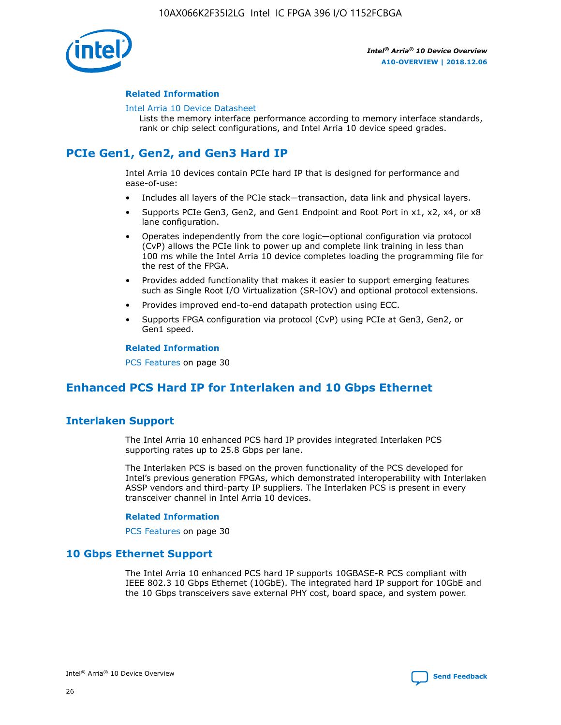

### **Related Information**

#### [Intel Arria 10 Device Datasheet](https://www.intel.com/content/www/us/en/programmable/documentation/mcn1413182292568.html#mcn1413182153340)

Lists the memory interface performance according to memory interface standards, rank or chip select configurations, and Intel Arria 10 device speed grades.

# **PCIe Gen1, Gen2, and Gen3 Hard IP**

Intel Arria 10 devices contain PCIe hard IP that is designed for performance and ease-of-use:

- Includes all layers of the PCIe stack—transaction, data link and physical layers.
- Supports PCIe Gen3, Gen2, and Gen1 Endpoint and Root Port in x1, x2, x4, or x8 lane configuration.
- Operates independently from the core logic—optional configuration via protocol (CvP) allows the PCIe link to power up and complete link training in less than 100 ms while the Intel Arria 10 device completes loading the programming file for the rest of the FPGA.
- Provides added functionality that makes it easier to support emerging features such as Single Root I/O Virtualization (SR-IOV) and optional protocol extensions.
- Provides improved end-to-end datapath protection using ECC.
- Supports FPGA configuration via protocol (CvP) using PCIe at Gen3, Gen2, or Gen1 speed.

#### **Related Information**

PCS Features on page 30

# **Enhanced PCS Hard IP for Interlaken and 10 Gbps Ethernet**

# **Interlaken Support**

The Intel Arria 10 enhanced PCS hard IP provides integrated Interlaken PCS supporting rates up to 25.8 Gbps per lane.

The Interlaken PCS is based on the proven functionality of the PCS developed for Intel's previous generation FPGAs, which demonstrated interoperability with Interlaken ASSP vendors and third-party IP suppliers. The Interlaken PCS is present in every transceiver channel in Intel Arria 10 devices.

### **Related Information**

PCS Features on page 30

# **10 Gbps Ethernet Support**

The Intel Arria 10 enhanced PCS hard IP supports 10GBASE-R PCS compliant with IEEE 802.3 10 Gbps Ethernet (10GbE). The integrated hard IP support for 10GbE and the 10 Gbps transceivers save external PHY cost, board space, and system power.

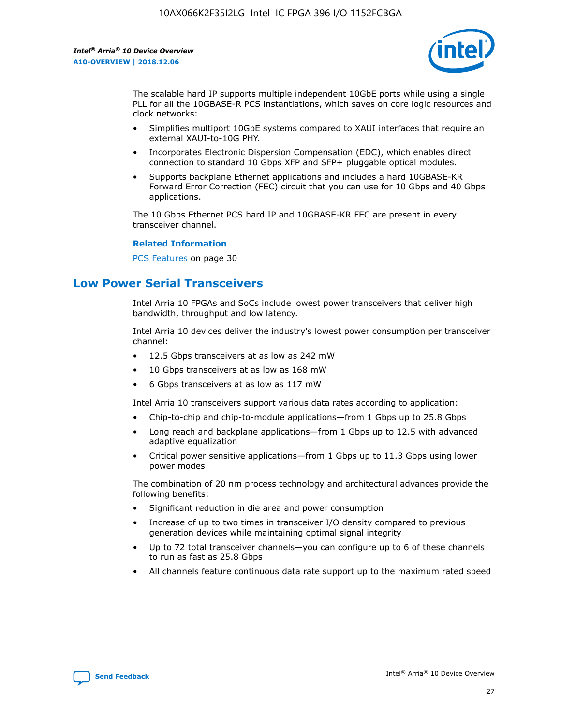

The scalable hard IP supports multiple independent 10GbE ports while using a single PLL for all the 10GBASE-R PCS instantiations, which saves on core logic resources and clock networks:

- Simplifies multiport 10GbE systems compared to XAUI interfaces that require an external XAUI-to-10G PHY.
- Incorporates Electronic Dispersion Compensation (EDC), which enables direct connection to standard 10 Gbps XFP and SFP+ pluggable optical modules.
- Supports backplane Ethernet applications and includes a hard 10GBASE-KR Forward Error Correction (FEC) circuit that you can use for 10 Gbps and 40 Gbps applications.

The 10 Gbps Ethernet PCS hard IP and 10GBASE-KR FEC are present in every transceiver channel.

### **Related Information**

PCS Features on page 30

# **Low Power Serial Transceivers**

Intel Arria 10 FPGAs and SoCs include lowest power transceivers that deliver high bandwidth, throughput and low latency.

Intel Arria 10 devices deliver the industry's lowest power consumption per transceiver channel:

- 12.5 Gbps transceivers at as low as 242 mW
- 10 Gbps transceivers at as low as 168 mW
- 6 Gbps transceivers at as low as 117 mW

Intel Arria 10 transceivers support various data rates according to application:

- Chip-to-chip and chip-to-module applications—from 1 Gbps up to 25.8 Gbps
- Long reach and backplane applications—from 1 Gbps up to 12.5 with advanced adaptive equalization
- Critical power sensitive applications—from 1 Gbps up to 11.3 Gbps using lower power modes

The combination of 20 nm process technology and architectural advances provide the following benefits:

- Significant reduction in die area and power consumption
- Increase of up to two times in transceiver I/O density compared to previous generation devices while maintaining optimal signal integrity
- Up to 72 total transceiver channels—you can configure up to 6 of these channels to run as fast as 25.8 Gbps
- All channels feature continuous data rate support up to the maximum rated speed

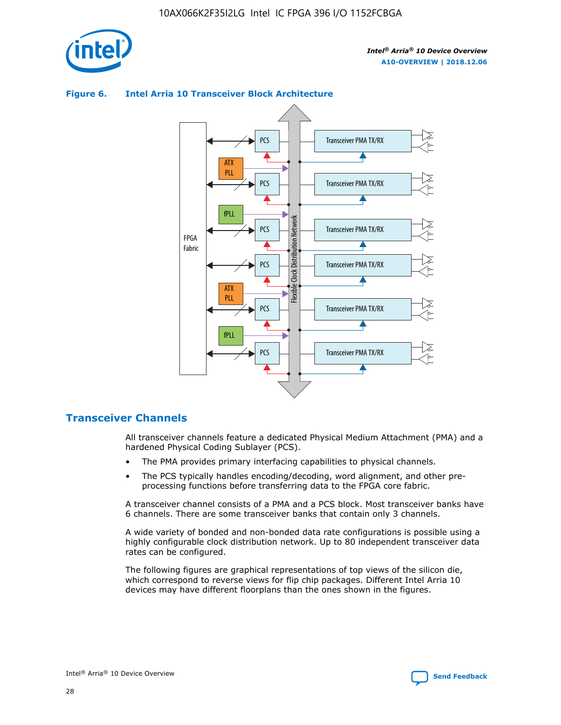



### **Figure 6. Intel Arria 10 Transceiver Block Architecture**

# **Transceiver Channels**

All transceiver channels feature a dedicated Physical Medium Attachment (PMA) and a hardened Physical Coding Sublayer (PCS).

- The PMA provides primary interfacing capabilities to physical channels.
- The PCS typically handles encoding/decoding, word alignment, and other preprocessing functions before transferring data to the FPGA core fabric.

A transceiver channel consists of a PMA and a PCS block. Most transceiver banks have 6 channels. There are some transceiver banks that contain only 3 channels.

A wide variety of bonded and non-bonded data rate configurations is possible using a highly configurable clock distribution network. Up to 80 independent transceiver data rates can be configured.

The following figures are graphical representations of top views of the silicon die, which correspond to reverse views for flip chip packages. Different Intel Arria 10 devices may have different floorplans than the ones shown in the figures.

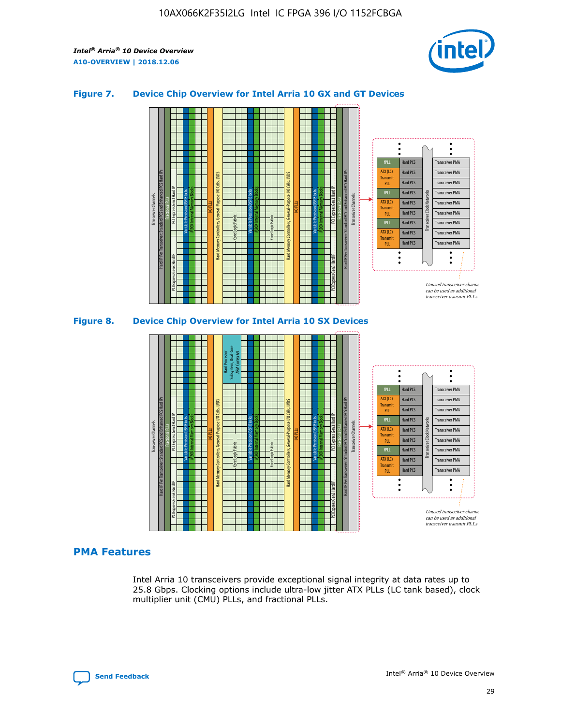

### **Figure 7. Device Chip Overview for Intel Arria 10 GX and GT Devices**





# **PMA Features**

Intel Arria 10 transceivers provide exceptional signal integrity at data rates up to 25.8 Gbps. Clocking options include ultra-low jitter ATX PLLs (LC tank based), clock multiplier unit (CMU) PLLs, and fractional PLLs.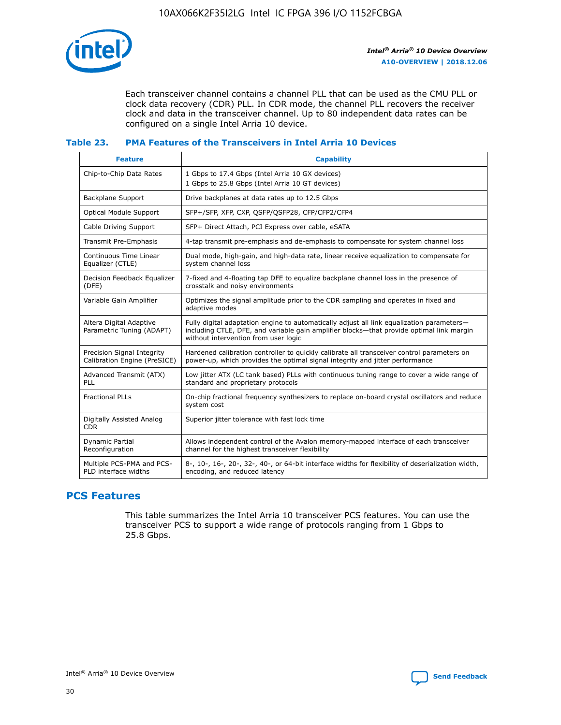

Each transceiver channel contains a channel PLL that can be used as the CMU PLL or clock data recovery (CDR) PLL. In CDR mode, the channel PLL recovers the receiver clock and data in the transceiver channel. Up to 80 independent data rates can be configured on a single Intel Arria 10 device.

# **Table 23. PMA Features of the Transceivers in Intel Arria 10 Devices**

| <b>Feature</b>                                             | <b>Capability</b>                                                                                                                                                                                                             |
|------------------------------------------------------------|-------------------------------------------------------------------------------------------------------------------------------------------------------------------------------------------------------------------------------|
| Chip-to-Chip Data Rates                                    | 1 Gbps to 17.4 Gbps (Intel Arria 10 GX devices)<br>1 Gbps to 25.8 Gbps (Intel Arria 10 GT devices)                                                                                                                            |
| Backplane Support                                          | Drive backplanes at data rates up to 12.5 Gbps                                                                                                                                                                                |
| <b>Optical Module Support</b>                              | SFP+/SFP, XFP, CXP, QSFP/QSFP28, CFP/CFP2/CFP4                                                                                                                                                                                |
| Cable Driving Support                                      | SFP+ Direct Attach, PCI Express over cable, eSATA                                                                                                                                                                             |
| Transmit Pre-Emphasis                                      | 4-tap transmit pre-emphasis and de-emphasis to compensate for system channel loss                                                                                                                                             |
| Continuous Time Linear<br>Equalizer (CTLE)                 | Dual mode, high-gain, and high-data rate, linear receive equalization to compensate for<br>system channel loss                                                                                                                |
| Decision Feedback Equalizer<br>(DFE)                       | 7-fixed and 4-floating tap DFE to equalize backplane channel loss in the presence of<br>crosstalk and noisy environments                                                                                                      |
| Variable Gain Amplifier                                    | Optimizes the signal amplitude prior to the CDR sampling and operates in fixed and<br>adaptive modes                                                                                                                          |
| Altera Digital Adaptive<br>Parametric Tuning (ADAPT)       | Fully digital adaptation engine to automatically adjust all link equalization parameters-<br>including CTLE, DFE, and variable gain amplifier blocks—that provide optimal link margin<br>without intervention from user logic |
| Precision Signal Integrity<br>Calibration Engine (PreSICE) | Hardened calibration controller to quickly calibrate all transceiver control parameters on<br>power-up, which provides the optimal signal integrity and jitter performance                                                    |
| Advanced Transmit (ATX)<br>PLL                             | Low jitter ATX (LC tank based) PLLs with continuous tuning range to cover a wide range of<br>standard and proprietary protocols                                                                                               |
| <b>Fractional PLLs</b>                                     | On-chip fractional frequency synthesizers to replace on-board crystal oscillators and reduce<br>system cost                                                                                                                   |
| Digitally Assisted Analog<br><b>CDR</b>                    | Superior jitter tolerance with fast lock time                                                                                                                                                                                 |
| Dynamic Partial<br>Reconfiguration                         | Allows independent control of the Avalon memory-mapped interface of each transceiver<br>channel for the highest transceiver flexibility                                                                                       |
| Multiple PCS-PMA and PCS-<br>PLD interface widths          | 8-, 10-, 16-, 20-, 32-, 40-, or 64-bit interface widths for flexibility of deserialization width,<br>encoding, and reduced latency                                                                                            |

# **PCS Features**

This table summarizes the Intel Arria 10 transceiver PCS features. You can use the transceiver PCS to support a wide range of protocols ranging from 1 Gbps to 25.8 Gbps.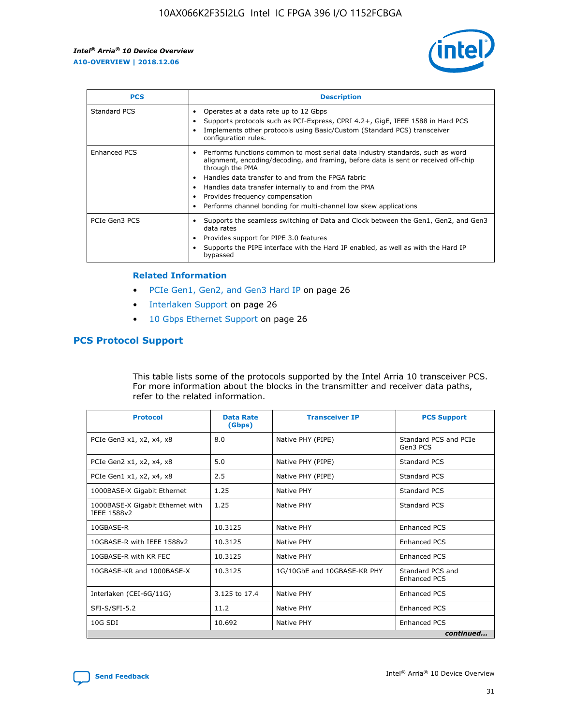

| <b>PCS</b>          | <b>Description</b>                                                                                                                                                                                                                                                                                                                                                                                             |
|---------------------|----------------------------------------------------------------------------------------------------------------------------------------------------------------------------------------------------------------------------------------------------------------------------------------------------------------------------------------------------------------------------------------------------------------|
| Standard PCS        | Operates at a data rate up to 12 Gbps<br>Supports protocols such as PCI-Express, CPRI 4.2+, GigE, IEEE 1588 in Hard PCS<br>Implements other protocols using Basic/Custom (Standard PCS) transceiver<br>configuration rules.                                                                                                                                                                                    |
| <b>Enhanced PCS</b> | Performs functions common to most serial data industry standards, such as word<br>alignment, encoding/decoding, and framing, before data is sent or received off-chip<br>through the PMA<br>• Handles data transfer to and from the FPGA fabric<br>Handles data transfer internally to and from the PMA<br>Provides frequency compensation<br>Performs channel bonding for multi-channel low skew applications |
| PCIe Gen3 PCS       | Supports the seamless switching of Data and Clock between the Gen1, Gen2, and Gen3<br>data rates<br>Provides support for PIPE 3.0 features<br>Supports the PIPE interface with the Hard IP enabled, as well as with the Hard IP<br>bypassed                                                                                                                                                                    |

#### **Related Information**

- PCIe Gen1, Gen2, and Gen3 Hard IP on page 26
- Interlaken Support on page 26
- 10 Gbps Ethernet Support on page 26

# **PCS Protocol Support**

This table lists some of the protocols supported by the Intel Arria 10 transceiver PCS. For more information about the blocks in the transmitter and receiver data paths, refer to the related information.

| <b>Protocol</b>                                 | <b>Data Rate</b><br>(Gbps) | <b>Transceiver IP</b>       | <b>PCS Support</b>                      |
|-------------------------------------------------|----------------------------|-----------------------------|-----------------------------------------|
| PCIe Gen3 x1, x2, x4, x8                        | 8.0                        | Native PHY (PIPE)           | Standard PCS and PCIe<br>Gen3 PCS       |
| PCIe Gen2 x1, x2, x4, x8                        | 5.0                        | Native PHY (PIPE)           | <b>Standard PCS</b>                     |
| PCIe Gen1 x1, x2, x4, x8                        | 2.5                        | Native PHY (PIPE)           | Standard PCS                            |
| 1000BASE-X Gigabit Ethernet                     | 1.25                       | Native PHY                  | <b>Standard PCS</b>                     |
| 1000BASE-X Gigabit Ethernet with<br>IEEE 1588v2 | 1.25                       | Native PHY                  | Standard PCS                            |
| 10GBASE-R                                       | 10.3125                    | Native PHY                  | <b>Enhanced PCS</b>                     |
| 10GBASE-R with IEEE 1588v2                      | 10.3125                    | Native PHY                  | <b>Enhanced PCS</b>                     |
| 10GBASE-R with KR FEC                           | 10.3125                    | Native PHY                  | <b>Enhanced PCS</b>                     |
| 10GBASE-KR and 1000BASE-X                       | 10.3125                    | 1G/10GbE and 10GBASE-KR PHY | Standard PCS and<br><b>Enhanced PCS</b> |
| Interlaken (CEI-6G/11G)                         | 3.125 to 17.4              | Native PHY                  | <b>Enhanced PCS</b>                     |
| SFI-S/SFI-5.2                                   | 11.2                       | Native PHY                  | <b>Enhanced PCS</b>                     |
| $10G$ SDI                                       | 10.692                     | Native PHY                  | <b>Enhanced PCS</b>                     |
|                                                 |                            |                             | continued                               |



**[Send Feedback](mailto:FPGAtechdocfeedback@intel.com?subject=Feedback%20on%20Intel%20Arria%2010%20Device%20Overview%20(A10-OVERVIEW%202018.12.06)&body=We%20appreciate%20your%20feedback.%20In%20your%20comments,%20also%20specify%20the%20page%20number%20or%20paragraph.%20Thank%20you.) Intel®** Arria<sup>®</sup> 10 Device Overview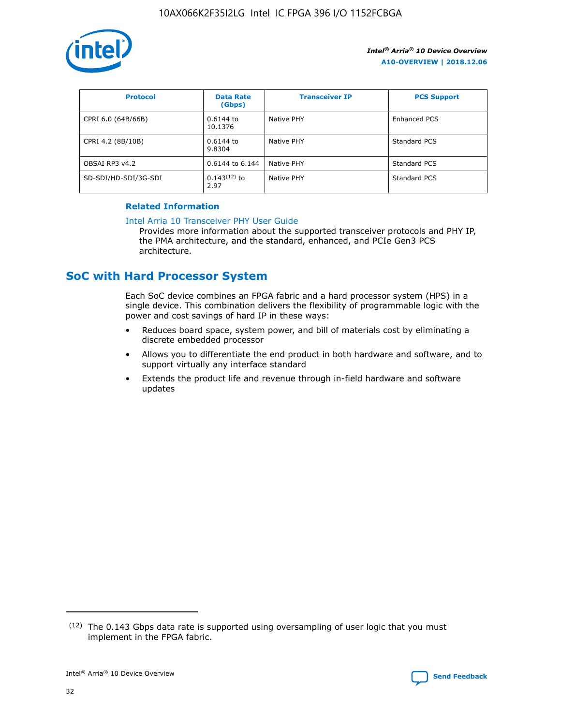

| <b>Protocol</b>      | <b>Data Rate</b><br>(Gbps) | <b>Transceiver IP</b> | <b>PCS Support</b>  |
|----------------------|----------------------------|-----------------------|---------------------|
| CPRI 6.0 (64B/66B)   | 0.6144 to<br>10.1376       | Native PHY            | <b>Enhanced PCS</b> |
| CPRI 4.2 (8B/10B)    | 0.6144 to<br>9.8304        | Native PHY            | Standard PCS        |
| OBSAI RP3 v4.2       | 0.6144 to 6.144            | Native PHY            | Standard PCS        |
| SD-SDI/HD-SDI/3G-SDI | $0.143(12)$ to<br>2.97     | Native PHY            | Standard PCS        |

### **Related Information**

### [Intel Arria 10 Transceiver PHY User Guide](https://www.intel.com/content/www/us/en/programmable/documentation/nik1398707230472.html#nik1398707091164)

Provides more information about the supported transceiver protocols and PHY IP, the PMA architecture, and the standard, enhanced, and PCIe Gen3 PCS architecture.

# **SoC with Hard Processor System**

Each SoC device combines an FPGA fabric and a hard processor system (HPS) in a single device. This combination delivers the flexibility of programmable logic with the power and cost savings of hard IP in these ways:

- Reduces board space, system power, and bill of materials cost by eliminating a discrete embedded processor
- Allows you to differentiate the end product in both hardware and software, and to support virtually any interface standard
- Extends the product life and revenue through in-field hardware and software updates

 $(12)$  The 0.143 Gbps data rate is supported using oversampling of user logic that you must implement in the FPGA fabric.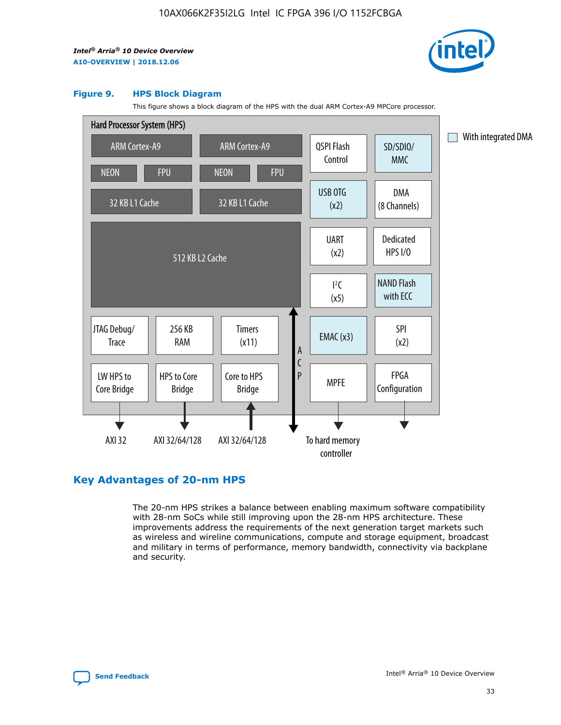

### **Figure 9. HPS Block Diagram**

This figure shows a block diagram of the HPS with the dual ARM Cortex-A9 MPCore processor.



# **Key Advantages of 20-nm HPS**

The 20-nm HPS strikes a balance between enabling maximum software compatibility with 28-nm SoCs while still improving upon the 28-nm HPS architecture. These improvements address the requirements of the next generation target markets such as wireless and wireline communications, compute and storage equipment, broadcast and military in terms of performance, memory bandwidth, connectivity via backplane and security.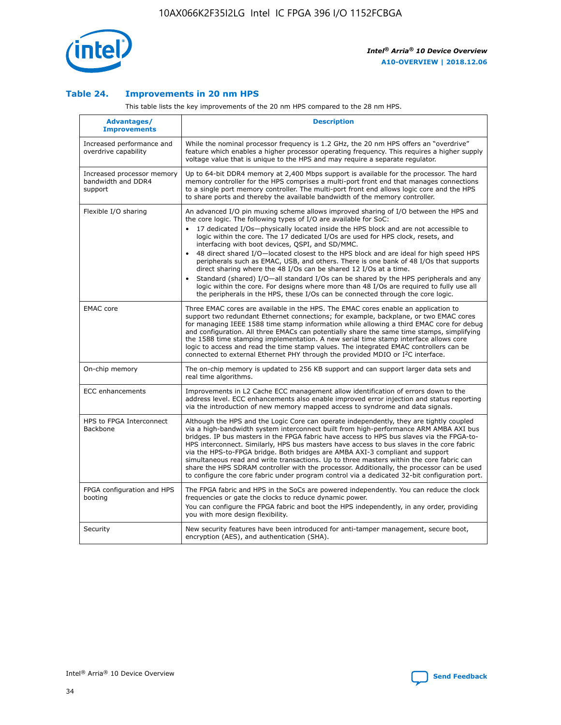

### **Table 24. Improvements in 20 nm HPS**

This table lists the key improvements of the 20 nm HPS compared to the 28 nm HPS.

| Advantages/<br><b>Improvements</b>                          | <b>Description</b>                                                                                                                                                                                                                                                                                                                                                                                                                                                                                                                                                                                                                                                                                                                                                                                                                                                                                                      |
|-------------------------------------------------------------|-------------------------------------------------------------------------------------------------------------------------------------------------------------------------------------------------------------------------------------------------------------------------------------------------------------------------------------------------------------------------------------------------------------------------------------------------------------------------------------------------------------------------------------------------------------------------------------------------------------------------------------------------------------------------------------------------------------------------------------------------------------------------------------------------------------------------------------------------------------------------------------------------------------------------|
| Increased performance and<br>overdrive capability           | While the nominal processor frequency is 1.2 GHz, the 20 nm HPS offers an "overdrive"<br>feature which enables a higher processor operating frequency. This requires a higher supply<br>voltage value that is unique to the HPS and may require a separate regulator.                                                                                                                                                                                                                                                                                                                                                                                                                                                                                                                                                                                                                                                   |
| Increased processor memory<br>bandwidth and DDR4<br>support | Up to 64-bit DDR4 memory at 2,400 Mbps support is available for the processor. The hard<br>memory controller for the HPS comprises a multi-port front end that manages connections<br>to a single port memory controller. The multi-port front end allows logic core and the HPS<br>to share ports and thereby the available bandwidth of the memory controller.                                                                                                                                                                                                                                                                                                                                                                                                                                                                                                                                                        |
| Flexible I/O sharing                                        | An advanced I/O pin muxing scheme allows improved sharing of I/O between the HPS and<br>the core logic. The following types of I/O are available for SoC:<br>17 dedicated I/Os-physically located inside the HPS block and are not accessible to<br>logic within the core. The 17 dedicated I/Os are used for HPS clock, resets, and<br>interfacing with boot devices, QSPI, and SD/MMC.<br>48 direct shared I/O-located closest to the HPS block and are ideal for high speed HPS<br>peripherals such as EMAC, USB, and others. There is one bank of 48 I/Os that supports<br>direct sharing where the 48 I/Os can be shared 12 I/Os at a time.<br>Standard (shared) I/O-all standard I/Os can be shared by the HPS peripherals and any<br>logic within the core. For designs where more than 48 I/Os are reguired to fully use all<br>the peripherals in the HPS, these I/Os can be connected through the core logic. |
| <b>EMAC</b> core                                            | Three EMAC cores are available in the HPS. The EMAC cores enable an application to<br>support two redundant Ethernet connections; for example, backplane, or two EMAC cores<br>for managing IEEE 1588 time stamp information while allowing a third EMAC core for debug<br>and configuration. All three EMACs can potentially share the same time stamps, simplifying<br>the 1588 time stamping implementation. A new serial time stamp interface allows core<br>logic to access and read the time stamp values. The integrated EMAC controllers can be<br>connected to external Ethernet PHY through the provided MDIO or I <sup>2</sup> C interface.                                                                                                                                                                                                                                                                  |
| On-chip memory                                              | The on-chip memory is updated to 256 KB support and can support larger data sets and<br>real time algorithms.                                                                                                                                                                                                                                                                                                                                                                                                                                                                                                                                                                                                                                                                                                                                                                                                           |
| <b>ECC</b> enhancements                                     | Improvements in L2 Cache ECC management allow identification of errors down to the<br>address level. ECC enhancements also enable improved error injection and status reporting<br>via the introduction of new memory mapped access to syndrome and data signals.                                                                                                                                                                                                                                                                                                                                                                                                                                                                                                                                                                                                                                                       |
| HPS to FPGA Interconnect<br>Backbone                        | Although the HPS and the Logic Core can operate independently, they are tightly coupled<br>via a high-bandwidth system interconnect built from high-performance ARM AMBA AXI bus<br>bridges. IP bus masters in the FPGA fabric have access to HPS bus slaves via the FPGA-to-<br>HPS interconnect. Similarly, HPS bus masters have access to bus slaves in the core fabric<br>via the HPS-to-FPGA bridge. Both bridges are AMBA AXI-3 compliant and support<br>simultaneous read and write transactions. Up to three masters within the core fabric can<br>share the HPS SDRAM controller with the processor. Additionally, the processor can be used<br>to configure the core fabric under program control via a dedicated 32-bit configuration port.                                                                                                                                                                  |
| FPGA configuration and HPS<br>booting                       | The FPGA fabric and HPS in the SoCs are powered independently. You can reduce the clock<br>frequencies or gate the clocks to reduce dynamic power.<br>You can configure the FPGA fabric and boot the HPS independently, in any order, providing<br>you with more design flexibility.                                                                                                                                                                                                                                                                                                                                                                                                                                                                                                                                                                                                                                    |
| Security                                                    | New security features have been introduced for anti-tamper management, secure boot,<br>encryption (AES), and authentication (SHA).                                                                                                                                                                                                                                                                                                                                                                                                                                                                                                                                                                                                                                                                                                                                                                                      |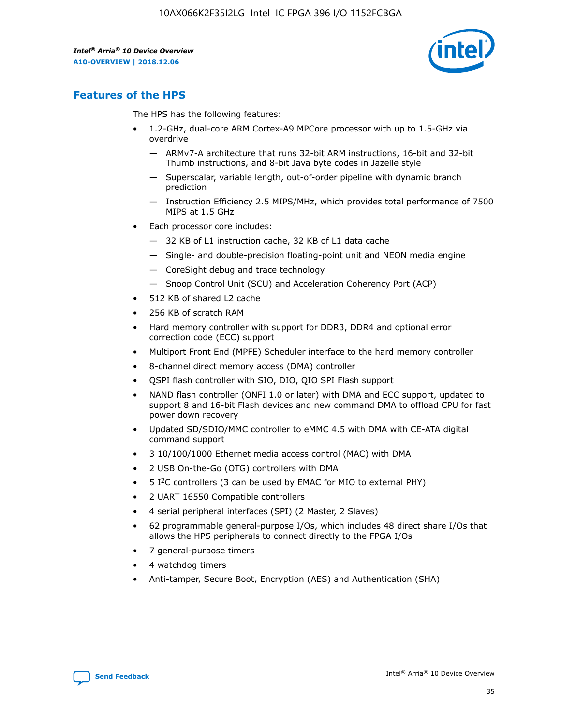

# **Features of the HPS**

The HPS has the following features:

- 1.2-GHz, dual-core ARM Cortex-A9 MPCore processor with up to 1.5-GHz via overdrive
	- ARMv7-A architecture that runs 32-bit ARM instructions, 16-bit and 32-bit Thumb instructions, and 8-bit Java byte codes in Jazelle style
	- Superscalar, variable length, out-of-order pipeline with dynamic branch prediction
	- Instruction Efficiency 2.5 MIPS/MHz, which provides total performance of 7500 MIPS at 1.5 GHz
- Each processor core includes:
	- 32 KB of L1 instruction cache, 32 KB of L1 data cache
	- Single- and double-precision floating-point unit and NEON media engine
	- CoreSight debug and trace technology
	- Snoop Control Unit (SCU) and Acceleration Coherency Port (ACP)
- 512 KB of shared L2 cache
- 256 KB of scratch RAM
- Hard memory controller with support for DDR3, DDR4 and optional error correction code (ECC) support
- Multiport Front End (MPFE) Scheduler interface to the hard memory controller
- 8-channel direct memory access (DMA) controller
- QSPI flash controller with SIO, DIO, QIO SPI Flash support
- NAND flash controller (ONFI 1.0 or later) with DMA and ECC support, updated to support 8 and 16-bit Flash devices and new command DMA to offload CPU for fast power down recovery
- Updated SD/SDIO/MMC controller to eMMC 4.5 with DMA with CE-ATA digital command support
- 3 10/100/1000 Ethernet media access control (MAC) with DMA
- 2 USB On-the-Go (OTG) controllers with DMA
- $\bullet$  5 I<sup>2</sup>C controllers (3 can be used by EMAC for MIO to external PHY)
- 2 UART 16550 Compatible controllers
- 4 serial peripheral interfaces (SPI) (2 Master, 2 Slaves)
- 62 programmable general-purpose I/Os, which includes 48 direct share I/Os that allows the HPS peripherals to connect directly to the FPGA I/Os
- 7 general-purpose timers
- 4 watchdog timers
- Anti-tamper, Secure Boot, Encryption (AES) and Authentication (SHA)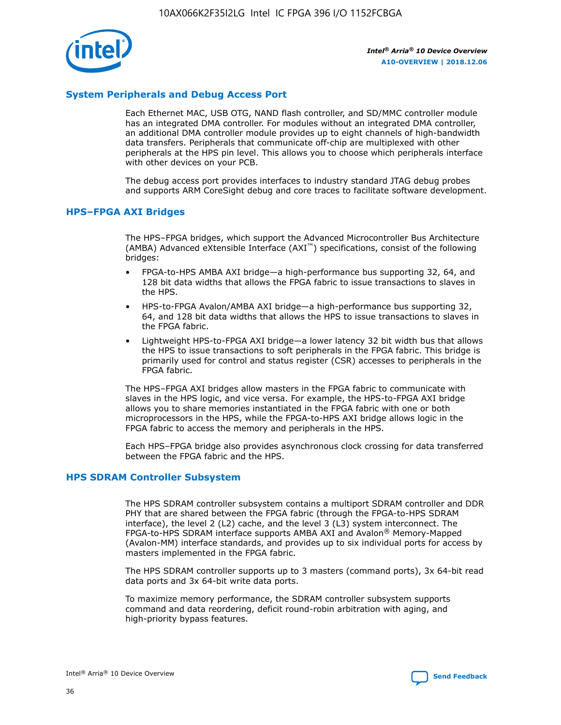

# **System Peripherals and Debug Access Port**

Each Ethernet MAC, USB OTG, NAND flash controller, and SD/MMC controller module has an integrated DMA controller. For modules without an integrated DMA controller, an additional DMA controller module provides up to eight channels of high-bandwidth data transfers. Peripherals that communicate off-chip are multiplexed with other peripherals at the HPS pin level. This allows you to choose which peripherals interface with other devices on your PCB.

The debug access port provides interfaces to industry standard JTAG debug probes and supports ARM CoreSight debug and core traces to facilitate software development.

### **HPS–FPGA AXI Bridges**

The HPS–FPGA bridges, which support the Advanced Microcontroller Bus Architecture (AMBA) Advanced eXtensible Interface (AXI™) specifications, consist of the following bridges:

- FPGA-to-HPS AMBA AXI bridge—a high-performance bus supporting 32, 64, and 128 bit data widths that allows the FPGA fabric to issue transactions to slaves in the HPS.
- HPS-to-FPGA Avalon/AMBA AXI bridge—a high-performance bus supporting 32, 64, and 128 bit data widths that allows the HPS to issue transactions to slaves in the FPGA fabric.
- Lightweight HPS-to-FPGA AXI bridge—a lower latency 32 bit width bus that allows the HPS to issue transactions to soft peripherals in the FPGA fabric. This bridge is primarily used for control and status register (CSR) accesses to peripherals in the FPGA fabric.

The HPS–FPGA AXI bridges allow masters in the FPGA fabric to communicate with slaves in the HPS logic, and vice versa. For example, the HPS-to-FPGA AXI bridge allows you to share memories instantiated in the FPGA fabric with one or both microprocessors in the HPS, while the FPGA-to-HPS AXI bridge allows logic in the FPGA fabric to access the memory and peripherals in the HPS.

Each HPS–FPGA bridge also provides asynchronous clock crossing for data transferred between the FPGA fabric and the HPS.

### **HPS SDRAM Controller Subsystem**

The HPS SDRAM controller subsystem contains a multiport SDRAM controller and DDR PHY that are shared between the FPGA fabric (through the FPGA-to-HPS SDRAM interface), the level 2 (L2) cache, and the level 3 (L3) system interconnect. The FPGA-to-HPS SDRAM interface supports AMBA AXI and Avalon® Memory-Mapped (Avalon-MM) interface standards, and provides up to six individual ports for access by masters implemented in the FPGA fabric.

The HPS SDRAM controller supports up to 3 masters (command ports), 3x 64-bit read data ports and 3x 64-bit write data ports.

To maximize memory performance, the SDRAM controller subsystem supports command and data reordering, deficit round-robin arbitration with aging, and high-priority bypass features.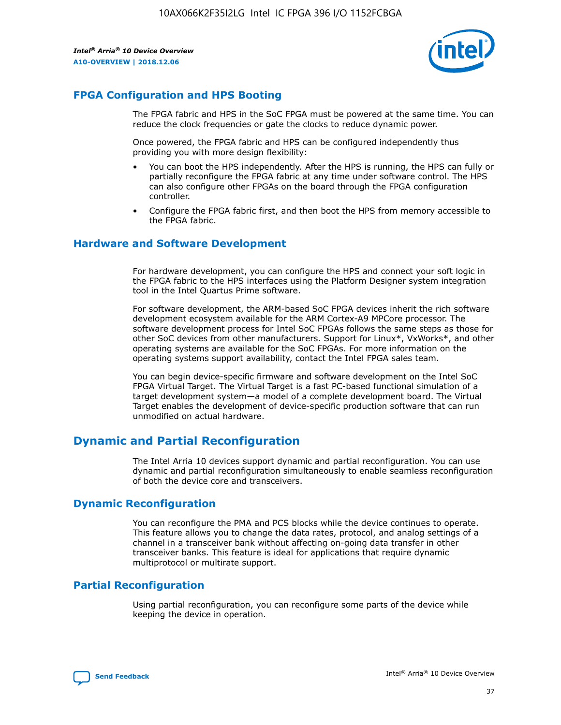

# **FPGA Configuration and HPS Booting**

The FPGA fabric and HPS in the SoC FPGA must be powered at the same time. You can reduce the clock frequencies or gate the clocks to reduce dynamic power.

Once powered, the FPGA fabric and HPS can be configured independently thus providing you with more design flexibility:

- You can boot the HPS independently. After the HPS is running, the HPS can fully or partially reconfigure the FPGA fabric at any time under software control. The HPS can also configure other FPGAs on the board through the FPGA configuration controller.
- Configure the FPGA fabric first, and then boot the HPS from memory accessible to the FPGA fabric.

### **Hardware and Software Development**

For hardware development, you can configure the HPS and connect your soft logic in the FPGA fabric to the HPS interfaces using the Platform Designer system integration tool in the Intel Quartus Prime software.

For software development, the ARM-based SoC FPGA devices inherit the rich software development ecosystem available for the ARM Cortex-A9 MPCore processor. The software development process for Intel SoC FPGAs follows the same steps as those for other SoC devices from other manufacturers. Support for Linux\*, VxWorks\*, and other operating systems are available for the SoC FPGAs. For more information on the operating systems support availability, contact the Intel FPGA sales team.

You can begin device-specific firmware and software development on the Intel SoC FPGA Virtual Target. The Virtual Target is a fast PC-based functional simulation of a target development system—a model of a complete development board. The Virtual Target enables the development of device-specific production software that can run unmodified on actual hardware.

# **Dynamic and Partial Reconfiguration**

The Intel Arria 10 devices support dynamic and partial reconfiguration. You can use dynamic and partial reconfiguration simultaneously to enable seamless reconfiguration of both the device core and transceivers.

# **Dynamic Reconfiguration**

You can reconfigure the PMA and PCS blocks while the device continues to operate. This feature allows you to change the data rates, protocol, and analog settings of a channel in a transceiver bank without affecting on-going data transfer in other transceiver banks. This feature is ideal for applications that require dynamic multiprotocol or multirate support.

# **Partial Reconfiguration**

Using partial reconfiguration, you can reconfigure some parts of the device while keeping the device in operation.

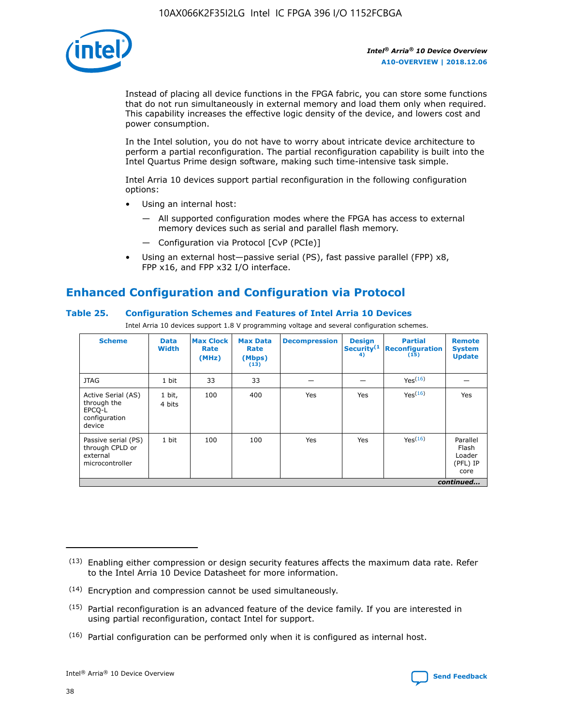

Instead of placing all device functions in the FPGA fabric, you can store some functions that do not run simultaneously in external memory and load them only when required. This capability increases the effective logic density of the device, and lowers cost and power consumption.

In the Intel solution, you do not have to worry about intricate device architecture to perform a partial reconfiguration. The partial reconfiguration capability is built into the Intel Quartus Prime design software, making such time-intensive task simple.

Intel Arria 10 devices support partial reconfiguration in the following configuration options:

- Using an internal host:
	- All supported configuration modes where the FPGA has access to external memory devices such as serial and parallel flash memory.
	- Configuration via Protocol [CvP (PCIe)]
- Using an external host—passive serial (PS), fast passive parallel (FPP) x8, FPP x16, and FPP x32 I/O interface.

# **Enhanced Configuration and Configuration via Protocol**

# **Table 25. Configuration Schemes and Features of Intel Arria 10 Devices**

Intel Arria 10 devices support 1.8 V programming voltage and several configuration schemes.

| <b>Scheme</b>                                                          | <b>Data</b><br><b>Width</b> | <b>Max Clock</b><br>Rate<br>(MHz) | <b>Max Data</b><br>Rate<br>(Mbps)<br>(13) | <b>Decompression</b> | <b>Design</b><br>Security <sup>(1</sup><br>4) | <b>Partial</b><br><b>Reconfiguration</b><br>(15) | <b>Remote</b><br><b>System</b><br><b>Update</b> |
|------------------------------------------------------------------------|-----------------------------|-----------------------------------|-------------------------------------------|----------------------|-----------------------------------------------|--------------------------------------------------|-------------------------------------------------|
| <b>JTAG</b>                                                            | 1 bit                       | 33                                | 33                                        |                      |                                               | Yes(16)                                          |                                                 |
| Active Serial (AS)<br>through the<br>EPCO-L<br>configuration<br>device | 1 bit,<br>4 bits            | 100                               | 400                                       | Yes                  | Yes                                           | $Y_{PS}(16)$                                     | Yes                                             |
| Passive serial (PS)<br>through CPLD or<br>external<br>microcontroller  | 1 bit                       | 100                               | 100                                       | Yes                  | Yes                                           | Yes(16)                                          | Parallel<br>Flash<br>Loader<br>(PFL) IP<br>core |
|                                                                        |                             |                                   |                                           |                      |                                               |                                                  | continued                                       |

<sup>(13)</sup> Enabling either compression or design security features affects the maximum data rate. Refer to the Intel Arria 10 Device Datasheet for more information.

<sup>(14)</sup> Encryption and compression cannot be used simultaneously.

 $(15)$  Partial reconfiguration is an advanced feature of the device family. If you are interested in using partial reconfiguration, contact Intel for support.

 $(16)$  Partial configuration can be performed only when it is configured as internal host.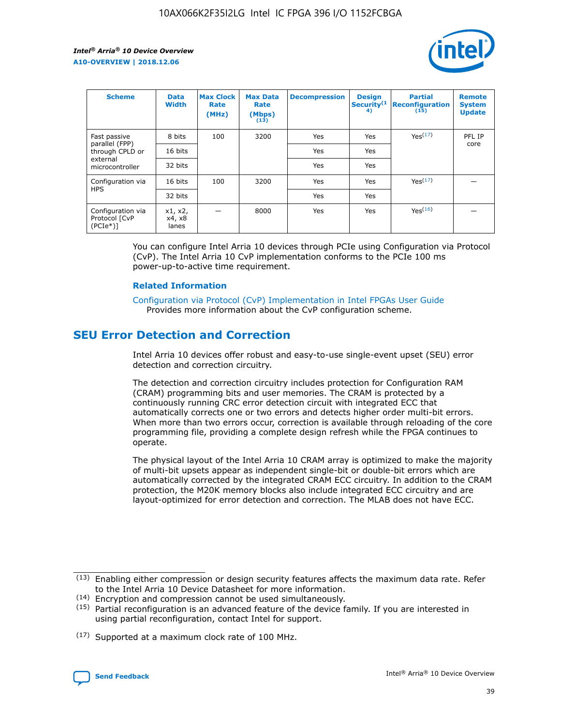

| <b>Scheme</b>                                   | <b>Data</b><br><b>Width</b> | <b>Max Clock</b><br>Rate<br>(MHz) | <b>Max Data</b><br>Rate<br>(Mbps)<br>(13) | <b>Decompression</b> | <b>Design</b><br>Security <sup>(1</sup><br>4) | <b>Partial</b><br><b>Reconfiguration</b><br>(15) | <b>Remote</b><br><b>System</b><br><b>Update</b> |
|-------------------------------------------------|-----------------------------|-----------------------------------|-------------------------------------------|----------------------|-----------------------------------------------|--------------------------------------------------|-------------------------------------------------|
| Fast passive                                    | 8 bits                      | 100                               | 3200                                      | Yes                  | Yes                                           | Yes(17)                                          | PFL IP                                          |
| parallel (FPP)<br>through CPLD or               | 16 bits                     |                                   |                                           | Yes                  | Yes                                           |                                                  | core                                            |
| external<br>microcontroller                     | 32 bits                     |                                   |                                           | Yes                  | Yes                                           |                                                  |                                                 |
| Configuration via                               | 16 bits                     | 100                               | 3200                                      | Yes                  | Yes                                           | Yes <sup>(17)</sup>                              |                                                 |
| <b>HPS</b>                                      | 32 bits                     |                                   |                                           | Yes                  | Yes                                           |                                                  |                                                 |
| Configuration via<br>Protocol [CvP<br>$(PCIe*)$ | x1, x2,<br>x4, x8<br>lanes  |                                   | 8000                                      | Yes                  | Yes                                           | Yes <sup>(16)</sup>                              |                                                 |

You can configure Intel Arria 10 devices through PCIe using Configuration via Protocol (CvP). The Intel Arria 10 CvP implementation conforms to the PCIe 100 ms power-up-to-active time requirement.

### **Related Information**

[Configuration via Protocol \(CvP\) Implementation in Intel FPGAs User Guide](https://www.intel.com/content/www/us/en/programmable/documentation/dsu1441819344145.html#dsu1442269728522) Provides more information about the CvP configuration scheme.

# **SEU Error Detection and Correction**

Intel Arria 10 devices offer robust and easy-to-use single-event upset (SEU) error detection and correction circuitry.

The detection and correction circuitry includes protection for Configuration RAM (CRAM) programming bits and user memories. The CRAM is protected by a continuously running CRC error detection circuit with integrated ECC that automatically corrects one or two errors and detects higher order multi-bit errors. When more than two errors occur, correction is available through reloading of the core programming file, providing a complete design refresh while the FPGA continues to operate.

The physical layout of the Intel Arria 10 CRAM array is optimized to make the majority of multi-bit upsets appear as independent single-bit or double-bit errors which are automatically corrected by the integrated CRAM ECC circuitry. In addition to the CRAM protection, the M20K memory blocks also include integrated ECC circuitry and are layout-optimized for error detection and correction. The MLAB does not have ECC.

(14) Encryption and compression cannot be used simultaneously.

<sup>(17)</sup> Supported at a maximum clock rate of 100 MHz.



 $(13)$  Enabling either compression or design security features affects the maximum data rate. Refer to the Intel Arria 10 Device Datasheet for more information.

 $(15)$  Partial reconfiguration is an advanced feature of the device family. If you are interested in using partial reconfiguration, contact Intel for support.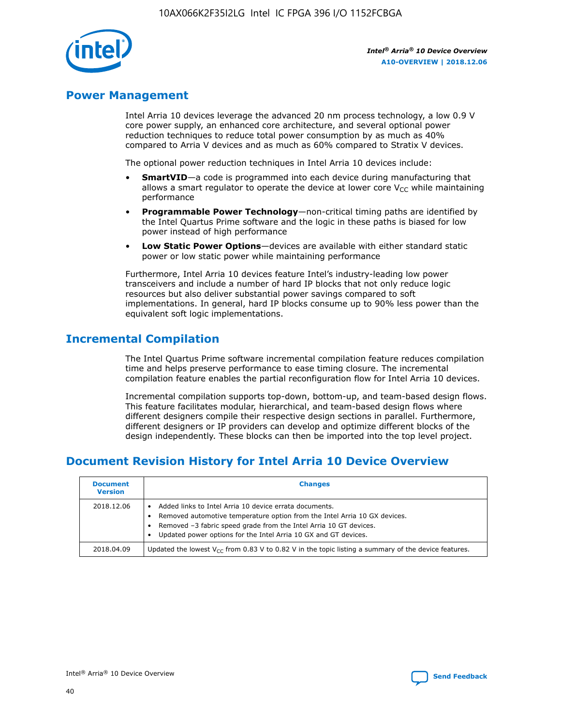

# **Power Management**

Intel Arria 10 devices leverage the advanced 20 nm process technology, a low 0.9 V core power supply, an enhanced core architecture, and several optional power reduction techniques to reduce total power consumption by as much as 40% compared to Arria V devices and as much as 60% compared to Stratix V devices.

The optional power reduction techniques in Intel Arria 10 devices include:

- **SmartVID**—a code is programmed into each device during manufacturing that allows a smart regulator to operate the device at lower core  $V_{CC}$  while maintaining performance
- **Programmable Power Technology**—non-critical timing paths are identified by the Intel Quartus Prime software and the logic in these paths is biased for low power instead of high performance
- **Low Static Power Options**—devices are available with either standard static power or low static power while maintaining performance

Furthermore, Intel Arria 10 devices feature Intel's industry-leading low power transceivers and include a number of hard IP blocks that not only reduce logic resources but also deliver substantial power savings compared to soft implementations. In general, hard IP blocks consume up to 90% less power than the equivalent soft logic implementations.

# **Incremental Compilation**

The Intel Quartus Prime software incremental compilation feature reduces compilation time and helps preserve performance to ease timing closure. The incremental compilation feature enables the partial reconfiguration flow for Intel Arria 10 devices.

Incremental compilation supports top-down, bottom-up, and team-based design flows. This feature facilitates modular, hierarchical, and team-based design flows where different designers compile their respective design sections in parallel. Furthermore, different designers or IP providers can develop and optimize different blocks of the design independently. These blocks can then be imported into the top level project.

# **Document Revision History for Intel Arria 10 Device Overview**

| <b>Document</b><br><b>Version</b> | <b>Changes</b>                                                                                                                                                                                                                                                              |
|-----------------------------------|-----------------------------------------------------------------------------------------------------------------------------------------------------------------------------------------------------------------------------------------------------------------------------|
| 2018.12.06                        | Added links to Intel Arria 10 device errata documents.<br>Removed automotive temperature option from the Intel Arria 10 GX devices.<br>Removed -3 fabric speed grade from the Intel Arria 10 GT devices.<br>Updated power options for the Intel Arria 10 GX and GT devices. |
| 2018.04.09                        | Updated the lowest $V_{CC}$ from 0.83 V to 0.82 V in the topic listing a summary of the device features.                                                                                                                                                                    |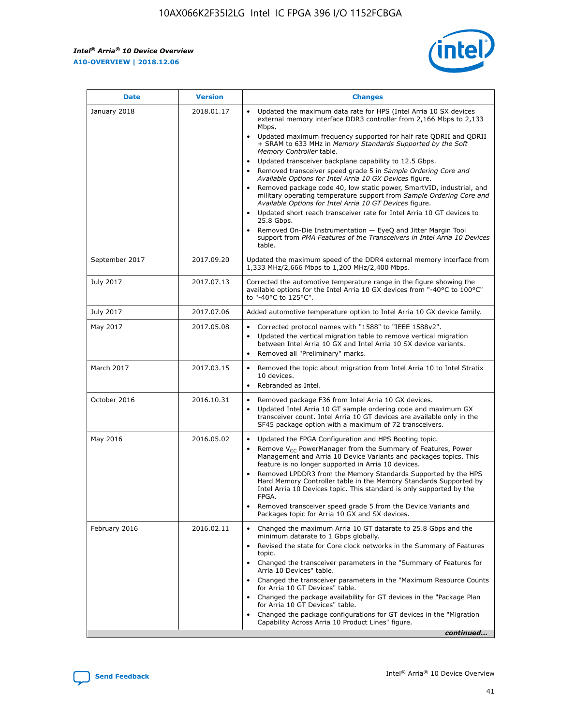*Intel® Arria® 10 Device Overview* **A10-OVERVIEW | 2018.12.06**



| <b>Date</b>    | <b>Version</b> | <b>Changes</b>                                                                                                                                                                                                                                                                                                                                                                                                                                                                                                                                                                                                                                                                                                                                                                                                                                                                                                                                                            |
|----------------|----------------|---------------------------------------------------------------------------------------------------------------------------------------------------------------------------------------------------------------------------------------------------------------------------------------------------------------------------------------------------------------------------------------------------------------------------------------------------------------------------------------------------------------------------------------------------------------------------------------------------------------------------------------------------------------------------------------------------------------------------------------------------------------------------------------------------------------------------------------------------------------------------------------------------------------------------------------------------------------------------|
| January 2018   | 2018.01.17     | Updated the maximum data rate for HPS (Intel Arria 10 SX devices<br>external memory interface DDR3 controller from 2,166 Mbps to 2,133<br>Mbps.<br>Updated maximum frequency supported for half rate QDRII and QDRII<br>+ SRAM to 633 MHz in Memory Standards Supported by the Soft<br>Memory Controller table.<br>Updated transceiver backplane capability to 12.5 Gbps.<br>$\bullet$<br>Removed transceiver speed grade 5 in Sample Ordering Core and<br>Available Options for Intel Arria 10 GX Devices figure.<br>Removed package code 40, low static power, SmartVID, industrial, and<br>military operating temperature support from Sample Ordering Core and<br>Available Options for Intel Arria 10 GT Devices figure.<br>Updated short reach transceiver rate for Intel Arria 10 GT devices to<br>25.8 Gbps.<br>Removed On-Die Instrumentation - EyeQ and Jitter Margin Tool<br>support from PMA Features of the Transceivers in Intel Arria 10 Devices<br>table. |
| September 2017 | 2017.09.20     | Updated the maximum speed of the DDR4 external memory interface from<br>1,333 MHz/2,666 Mbps to 1,200 MHz/2,400 Mbps.                                                                                                                                                                                                                                                                                                                                                                                                                                                                                                                                                                                                                                                                                                                                                                                                                                                     |
| July 2017      | 2017.07.13     | Corrected the automotive temperature range in the figure showing the<br>available options for the Intel Arria 10 GX devices from "-40°C to 100°C"<br>to "-40°C to 125°C".                                                                                                                                                                                                                                                                                                                                                                                                                                                                                                                                                                                                                                                                                                                                                                                                 |
| July 2017      | 2017.07.06     | Added automotive temperature option to Intel Arria 10 GX device family.                                                                                                                                                                                                                                                                                                                                                                                                                                                                                                                                                                                                                                                                                                                                                                                                                                                                                                   |
| May 2017       | 2017.05.08     | Corrected protocol names with "1588" to "IEEE 1588v2".<br>Updated the vertical migration table to remove vertical migration<br>between Intel Arria 10 GX and Intel Arria 10 SX device variants.<br>Removed all "Preliminary" marks.                                                                                                                                                                                                                                                                                                                                                                                                                                                                                                                                                                                                                                                                                                                                       |
| March 2017     | 2017.03.15     | Removed the topic about migration from Intel Arria 10 to Intel Stratix<br>10 devices.<br>Rebranded as Intel.<br>$\bullet$                                                                                                                                                                                                                                                                                                                                                                                                                                                                                                                                                                                                                                                                                                                                                                                                                                                 |
| October 2016   | 2016.10.31     | Removed package F36 from Intel Arria 10 GX devices.<br>Updated Intel Arria 10 GT sample ordering code and maximum GX<br>$\bullet$<br>transceiver count. Intel Arria 10 GT devices are available only in the<br>SF45 package option with a maximum of 72 transceivers.                                                                                                                                                                                                                                                                                                                                                                                                                                                                                                                                                                                                                                                                                                     |
| May 2016       | 2016.05.02     | Updated the FPGA Configuration and HPS Booting topic.<br>Remove V <sub>CC</sub> PowerManager from the Summary of Features, Power<br>Management and Arria 10 Device Variants and packages topics. This<br>feature is no longer supported in Arria 10 devices.<br>Removed LPDDR3 from the Memory Standards Supported by the HPS<br>Hard Memory Controller table in the Memory Standards Supported by<br>Intel Arria 10 Devices topic. This standard is only supported by the<br>FPGA.<br>Removed transceiver speed grade 5 from the Device Variants and<br>Packages topic for Arria 10 GX and SX devices.                                                                                                                                                                                                                                                                                                                                                                   |
| February 2016  | 2016.02.11     | Changed the maximum Arria 10 GT datarate to 25.8 Gbps and the<br>minimum datarate to 1 Gbps globally.<br>Revised the state for Core clock networks in the Summary of Features<br>$\bullet$<br>topic.<br>Changed the transceiver parameters in the "Summary of Features for<br>Arria 10 Devices" table.<br>• Changed the transceiver parameters in the "Maximum Resource Counts<br>for Arria 10 GT Devices" table.<br>• Changed the package availability for GT devices in the "Package Plan<br>for Arria 10 GT Devices" table.<br>Changed the package configurations for GT devices in the "Migration"<br>Capability Across Arria 10 Product Lines" figure.<br>continued                                                                                                                                                                                                                                                                                                  |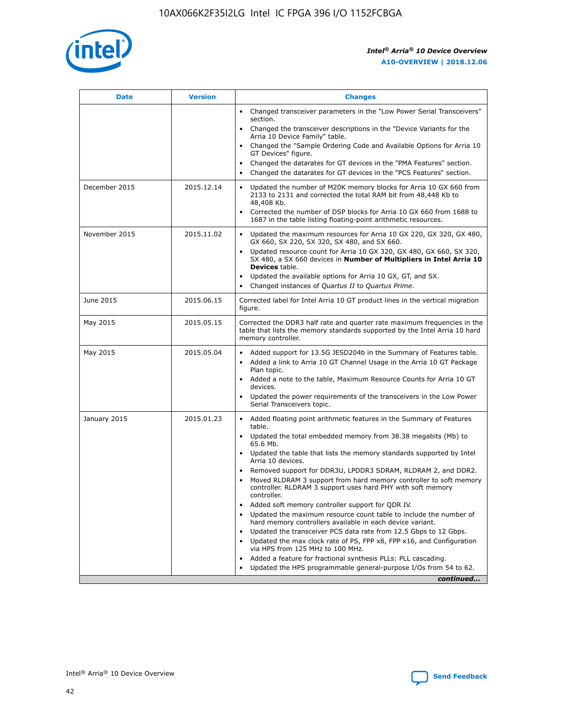

| <b>Date</b>   | <b>Version</b> | <b>Changes</b>                                                                                                                                                               |
|---------------|----------------|------------------------------------------------------------------------------------------------------------------------------------------------------------------------------|
|               |                | Changed transceiver parameters in the "Low Power Serial Transceivers"<br>$\bullet$<br>section.                                                                               |
|               |                | • Changed the transceiver descriptions in the "Device Variants for the<br>Arria 10 Device Family" table.                                                                     |
|               |                | • Changed the "Sample Ordering Code and Available Options for Arria 10<br>GT Devices" figure.                                                                                |
|               |                | Changed the datarates for GT devices in the "PMA Features" section.                                                                                                          |
|               |                | Changed the datarates for GT devices in the "PCS Features" section.<br>$\bullet$                                                                                             |
| December 2015 | 2015.12.14     | Updated the number of M20K memory blocks for Arria 10 GX 660 from<br>2133 to 2131 and corrected the total RAM bit from 48,448 Kb to<br>48,408 Kb.                            |
|               |                | Corrected the number of DSP blocks for Arria 10 GX 660 from 1688 to<br>$\bullet$<br>1687 in the table listing floating-point arithmetic resources.                           |
| November 2015 | 2015.11.02     | Updated the maximum resources for Arria 10 GX 220, GX 320, GX 480,<br>GX 660, SX 220, SX 320, SX 480, and SX 660.                                                            |
|               |                | Updated resource count for Arria 10 GX 320, GX 480, GX 660, SX 320,<br>SX 480, a SX 660 devices in Number of Multipliers in Intel Arria 10<br><b>Devices</b> table.          |
|               |                | Updated the available options for Arria 10 GX, GT, and SX.<br>$\bullet$                                                                                                      |
|               |                | Changed instances of Quartus II to Quartus Prime.<br>$\bullet$                                                                                                               |
| June 2015     | 2015.06.15     | Corrected label for Intel Arria 10 GT product lines in the vertical migration<br>figure.                                                                                     |
| May 2015      | 2015.05.15     | Corrected the DDR3 half rate and quarter rate maximum frequencies in the<br>table that lists the memory standards supported by the Intel Arria 10 hard<br>memory controller. |
| May 2015      | 2015.05.04     | • Added support for 13.5G JESD204b in the Summary of Features table.                                                                                                         |
|               |                | Added a link to Arria 10 GT Channel Usage in the Arria 10 GT Package<br>$\bullet$<br>Plan topic.                                                                             |
|               |                | • Added a note to the table, Maximum Resource Counts for Arria 10 GT<br>devices.                                                                                             |
|               |                | • Updated the power requirements of the transceivers in the Low Power<br>Serial Transceivers topic.                                                                          |
| January 2015  | 2015.01.23     | • Added floating point arithmetic features in the Summary of Features<br>table.                                                                                              |
|               |                | • Updated the total embedded memory from 38.38 megabits (Mb) to<br>65.6 Mb.                                                                                                  |
|               |                | • Updated the table that lists the memory standards supported by Intel<br>Arria 10 devices.                                                                                  |
|               |                | Removed support for DDR3U, LPDDR3 SDRAM, RLDRAM 2, and DDR2.                                                                                                                 |
|               |                | Moved RLDRAM 3 support from hard memory controller to soft memory<br>controller. RLDRAM 3 support uses hard PHY with soft memory<br>controller.                              |
|               |                | Added soft memory controller support for QDR IV.                                                                                                                             |
|               |                | Updated the maximum resource count table to include the number of<br>hard memory controllers available in each device variant.                                               |
|               |                | Updated the transceiver PCS data rate from 12.5 Gbps to 12 Gbps.                                                                                                             |
|               |                | Updated the max clock rate of PS, FPP x8, FPP x16, and Configuration<br>via HPS from 125 MHz to 100 MHz.                                                                     |
|               |                | Added a feature for fractional synthesis PLLs: PLL cascading.                                                                                                                |
|               |                | Updated the HPS programmable general-purpose I/Os from 54 to 62.<br>$\bullet$                                                                                                |
|               |                | continued                                                                                                                                                                    |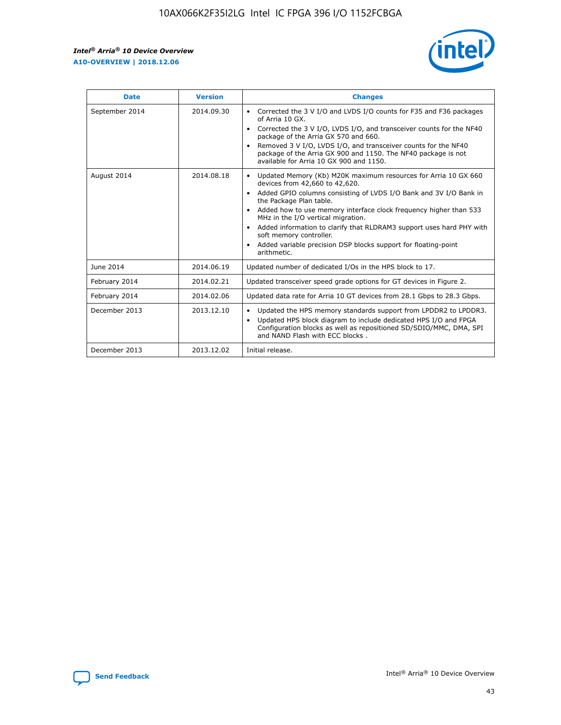r



| <b>Date</b>    | <b>Version</b> | <b>Changes</b>                                                                                                                                                                                                                                                                                                                                                                                                                                                                                                                                      |
|----------------|----------------|-----------------------------------------------------------------------------------------------------------------------------------------------------------------------------------------------------------------------------------------------------------------------------------------------------------------------------------------------------------------------------------------------------------------------------------------------------------------------------------------------------------------------------------------------------|
| September 2014 | 2014.09.30     | Corrected the 3 V I/O and LVDS I/O counts for F35 and F36 packages<br>$\bullet$<br>of Arria 10 GX.<br>Corrected the 3 V I/O, LVDS I/O, and transceiver counts for the NF40<br>$\bullet$<br>package of the Arria GX 570 and 660.<br>Removed 3 V I/O, LVDS I/O, and transceiver counts for the NF40<br>package of the Arria GX 900 and 1150. The NF40 package is not<br>available for Arria 10 GX 900 and 1150.                                                                                                                                       |
| August 2014    | 2014.08.18     | Updated Memory (Kb) M20K maximum resources for Arria 10 GX 660<br>devices from 42,660 to 42,620.<br>Added GPIO columns consisting of LVDS I/O Bank and 3V I/O Bank in<br>$\bullet$<br>the Package Plan table.<br>Added how to use memory interface clock frequency higher than 533<br>$\bullet$<br>MHz in the I/O vertical migration.<br>Added information to clarify that RLDRAM3 support uses hard PHY with<br>$\bullet$<br>soft memory controller.<br>Added variable precision DSP blocks support for floating-point<br>$\bullet$<br>arithmetic. |
| June 2014      | 2014.06.19     | Updated number of dedicated I/Os in the HPS block to 17.                                                                                                                                                                                                                                                                                                                                                                                                                                                                                            |
| February 2014  | 2014.02.21     | Updated transceiver speed grade options for GT devices in Figure 2.                                                                                                                                                                                                                                                                                                                                                                                                                                                                                 |
| February 2014  | 2014.02.06     | Updated data rate for Arria 10 GT devices from 28.1 Gbps to 28.3 Gbps.                                                                                                                                                                                                                                                                                                                                                                                                                                                                              |
| December 2013  | 2013.12.10     | Updated the HPS memory standards support from LPDDR2 to LPDDR3.<br>Updated HPS block diagram to include dedicated HPS I/O and FPGA<br>$\bullet$<br>Configuration blocks as well as repositioned SD/SDIO/MMC, DMA, SPI<br>and NAND Flash with ECC blocks.                                                                                                                                                                                                                                                                                            |
| December 2013  | 2013.12.02     | Initial release.                                                                                                                                                                                                                                                                                                                                                                                                                                                                                                                                    |